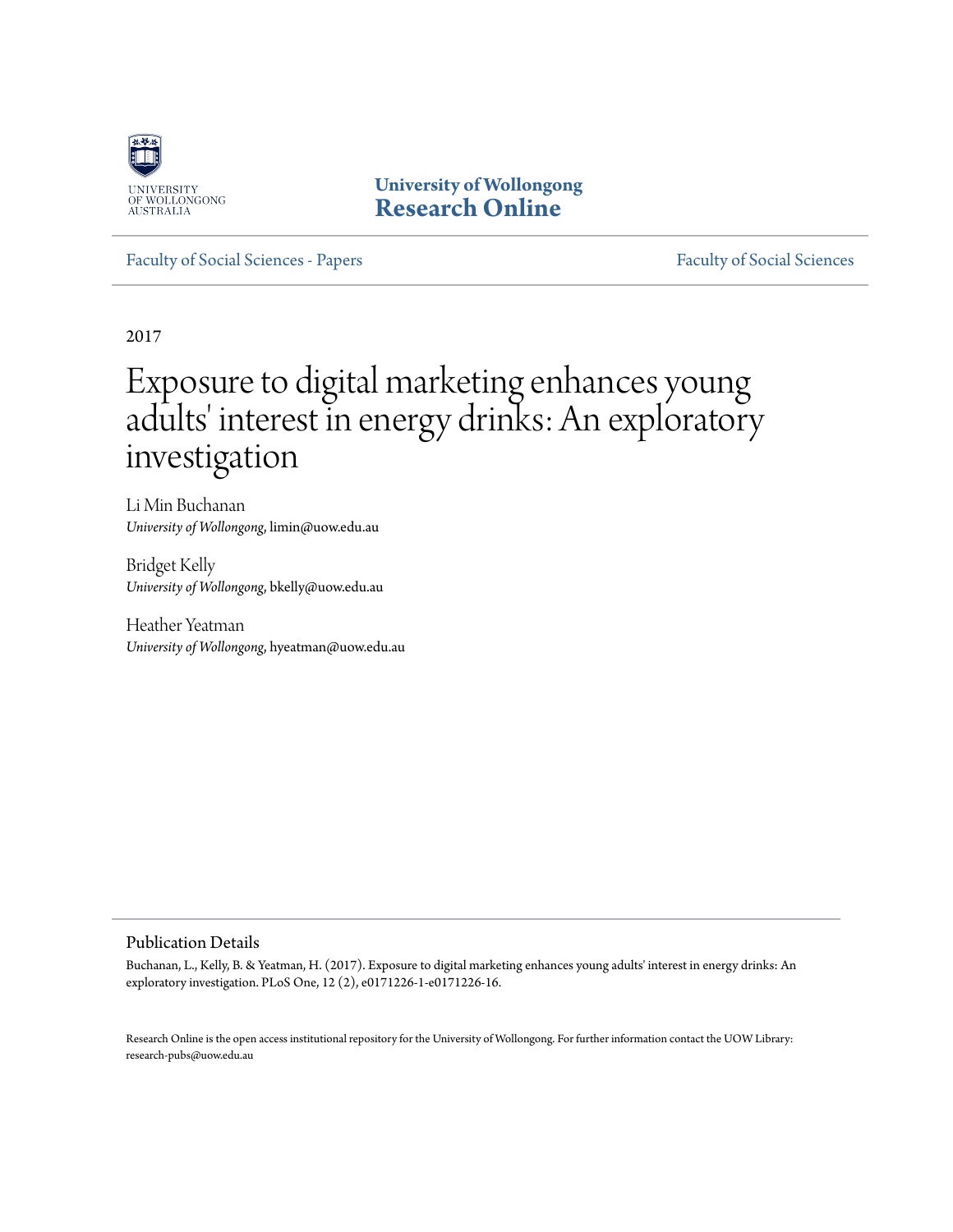

**University of Wollongong [Research Online](http://ro.uow.edu.au)**

[Faculty of Social Sciences - Papers](http://ro.uow.edu.au/sspapers) [Faculty of Social Sciences](http://ro.uow.edu.au/ss) - Papers Faculty of Social Sciences

2017

# Exposure to digital marketing enhances young adults' interest in energy drinks: An exploratory investigation

Li Min Buchanan *University of Wollongong*, limin@uow.edu.au

Bridget Kelly *University of Wollongong*, bkelly@uow.edu.au

Heather Yeatman *University of Wollongong*, hyeatman@uow.edu.au

#### Publication Details

Buchanan, L., Kelly, B. & Yeatman, H. (2017). Exposure to digital marketing enhances young adults' interest in energy drinks: An exploratory investigation. PLoS One, 12 (2), e0171226-1-e0171226-16.

Research Online is the open access institutional repository for the University of Wollongong. For further information contact the UOW Library: research-pubs@uow.edu.au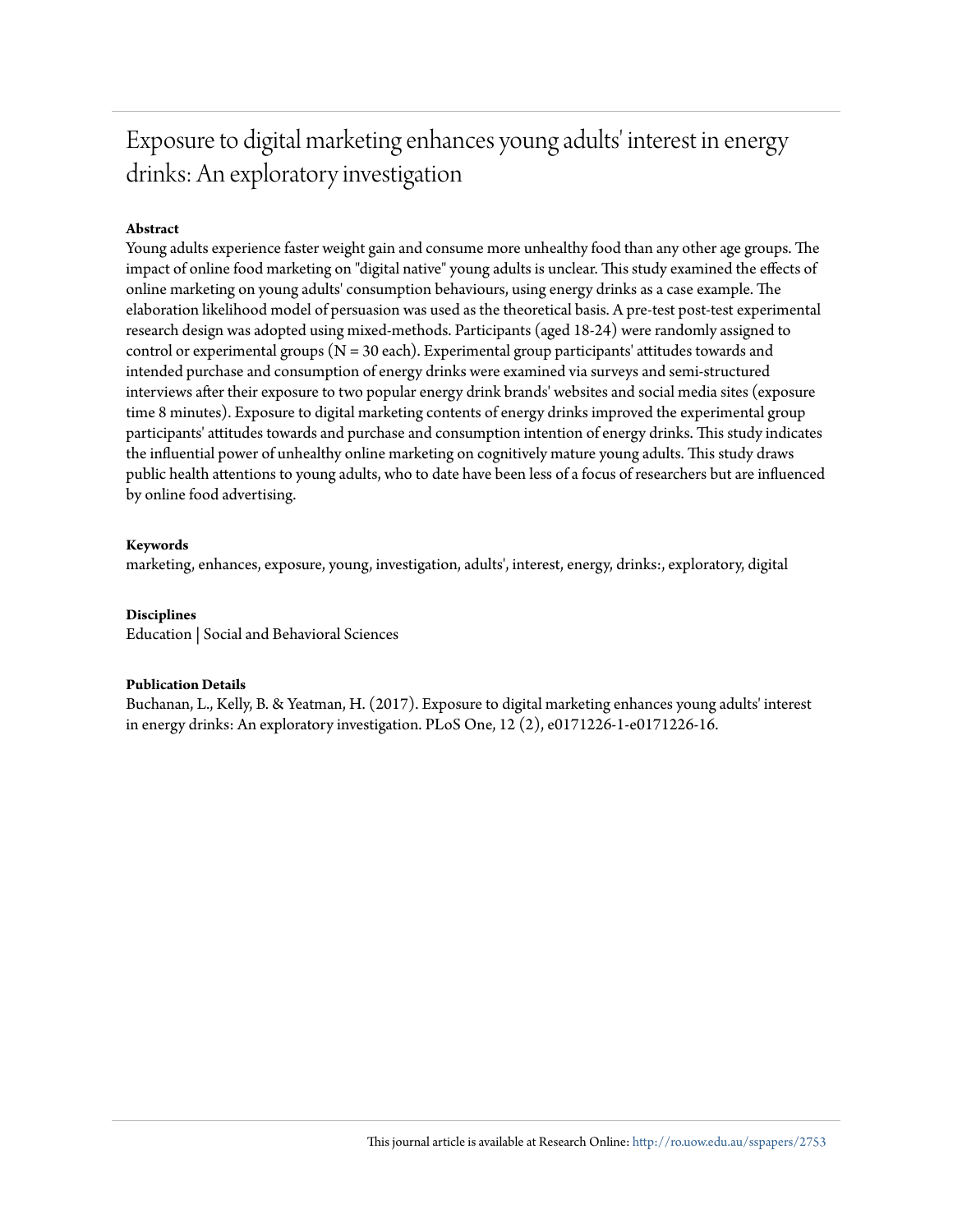# Exposure to digital marketing enhances young adults' interest in energy drinks: An exploratory investigation

#### **Abstract**

Young adults experience faster weight gain and consume more unhealthy food than any other age groups. The impact of online food marketing on "digital native" young adults is unclear. This study examined the effects of online marketing on young adults' consumption behaviours, using energy drinks as a case example. The elaboration likelihood model of persuasion was used as the theoretical basis. A pre-test post-test experimental research design was adopted using mixed-methods. Participants (aged 18-24) were randomly assigned to control or experimental groups ( $N = 30$  each). Experimental group participants' attitudes towards and intended purchase and consumption of energy drinks were examined via surveys and semi-structured interviews after their exposure to two popular energy drink brands' websites and social media sites (exposure time 8 minutes). Exposure to digital marketing contents of energy drinks improved the experimental group participants' attitudes towards and purchase and consumption intention of energy drinks. This study indicates the influential power of unhealthy online marketing on cognitively mature young adults. This study draws public health attentions to young adults, who to date have been less of a focus of researchers but are influenced by online food advertising.

#### **Keywords**

marketing, enhances, exposure, young, investigation, adults', interest, energy, drinks:, exploratory, digital

#### **Disciplines**

Education | Social and Behavioral Sciences

#### **Publication Details**

Buchanan, L., Kelly, B. & Yeatman, H. (2017). Exposure to digital marketing enhances young adults' interest in energy drinks: An exploratory investigation. PLoS One, 12 (2), e0171226-1-e0171226-16.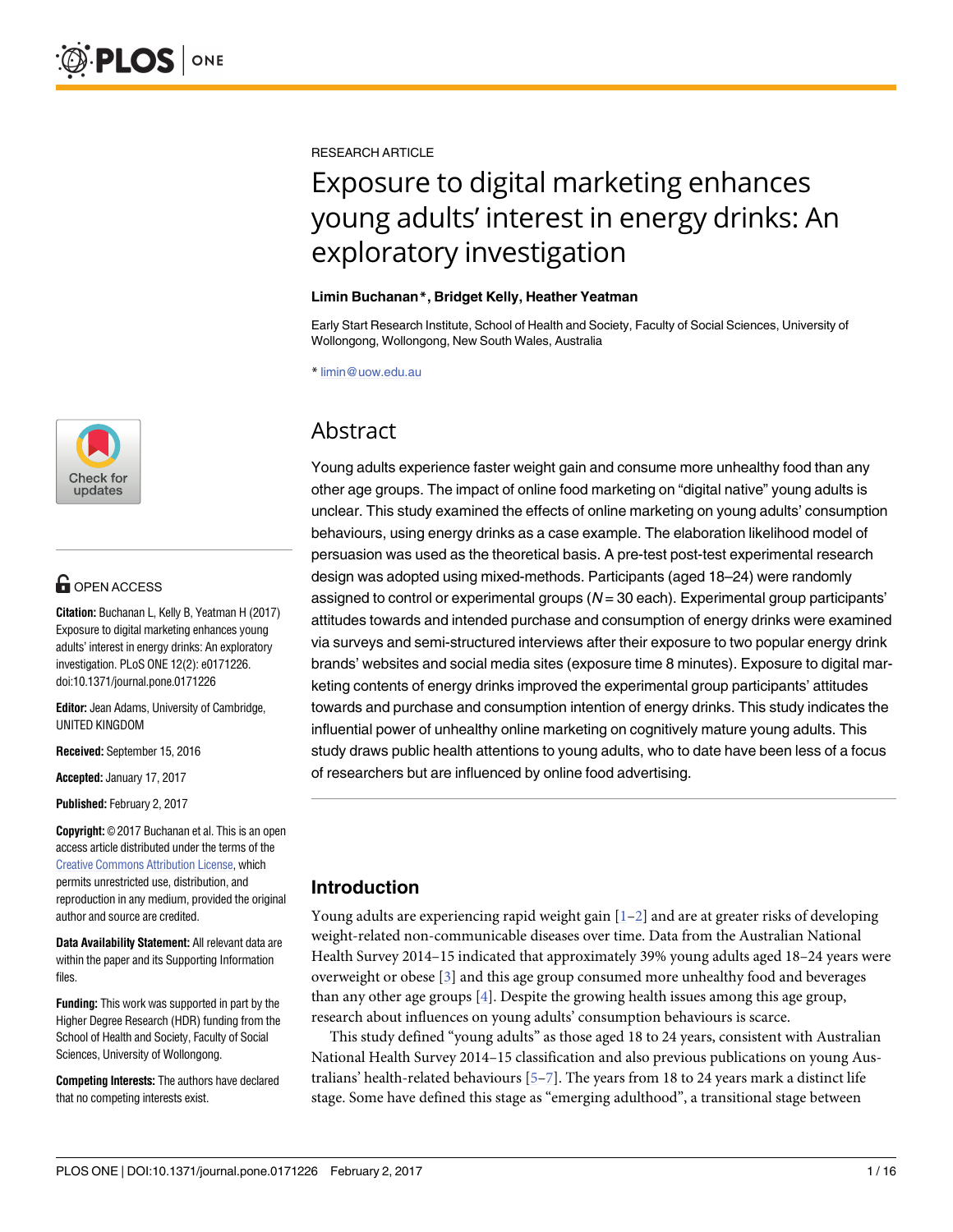

# **OPEN ACCESS**

**Citation:** Buchanan L, Kelly B, Yeatman H (2017) Exposure to digital marketing enhances young adults' interest in energy drinks: An exploratory investigation. PLoS ONE 12(2): e0171226. doi:10.1371/journal.pone.0171226

**Editor:** Jean Adams, University of Cambridge, UNITED KINGDOM

**Received:** September 15, 2016

**Accepted:** January 17, 2017

**Published:** February 2, 2017

**Copyright:** © 2017 Buchanan et al. This is an open access article distributed under the terms of the Creative Commons [Attribution](http://creativecommons.org/licenses/by/4.0/) License, which permits unrestricted use, distribution, and reproduction in any medium, provided the original author and source are credited.

**Data Availability Statement:** All relevant data are within the paper and its Supporting Information files.

**Funding:** This work was supported in part by the Higher Degree Research (HDR) funding from the School of Health and Society, Faculty of Social Sciences, University of Wollongong.

**Competing Interests:** The authors have declared that no competing interests exist.

<span id="page-2-0"></span>RESEARCH ARTICLE

# Exposure to digital marketing enhances young adults' interest in energy drinks: An exploratory investigation

#### **Limin Buchanan\*, Bridget Kelly, Heather Yeatman**

Early Start Research Institute, School of Health and Society, Faculty of Social Sciences, University of Wollongong, Wollongong, New South Wales, Australia

\* limin@uow.edu.au

# **Abstract**

Young adults experience faster weight gain and consume more unhealthy food than any other age groups. The impact of online food marketing on "digital native" young adults is unclear. This study examined the effects of online marketing on young adults' consumption behaviours, using energy drinks as a case example. The elaboration likelihood model of persuasion was used as the theoretical basis. A pre-test post-test experimental research design was adopted using mixed-methods. Participants (aged 18–24) were randomly assigned to control or experimental groups  $(N = 30$  each). Experimental group participants' attitudes towards and intended purchase and consumption of energy drinks were examined via surveys and semi-structured interviews after their exposure to two popular energy drink brands' websites and social media sites (exposure time 8 minutes). Exposure to digital marketing contents of energy drinks improved the experimental group participants' attitudes towards and purchase and consumption intention of energy drinks. This study indicates the influential power of unhealthy online marketing on cognitively mature young adults. This study draws public health attentions to young adults, who to date have been less of a focus of researchers but are influenced by online food advertising.

# **Introduction**

Young adults are experiencing rapid weight gain  $[1-2]$  and are at greater risks of developing weight-related non-communicable diseases over time. Data from the Australian National Health Survey 2014–15 indicated that approximately 39% young adults aged 18–24 years were overweight or obese [\[3\]](#page-15-0) and this age group consumed more unhealthy food and beverages than any other age groups [[4\]](#page-15-0). Despite the growing health issues among this age group, research about influences on young adults' consumption behaviours is scarce.

This study defined "young adults" as those aged 18 to 24 years, consistent with Australian National Health Survey 2014–15 classification and also previous publications on young Australians' health-related behaviours  $[5-7]$ . The years from 18 to 24 years mark a distinct life stage. Some have defined this stage as "emerging adulthood", a transitional stage between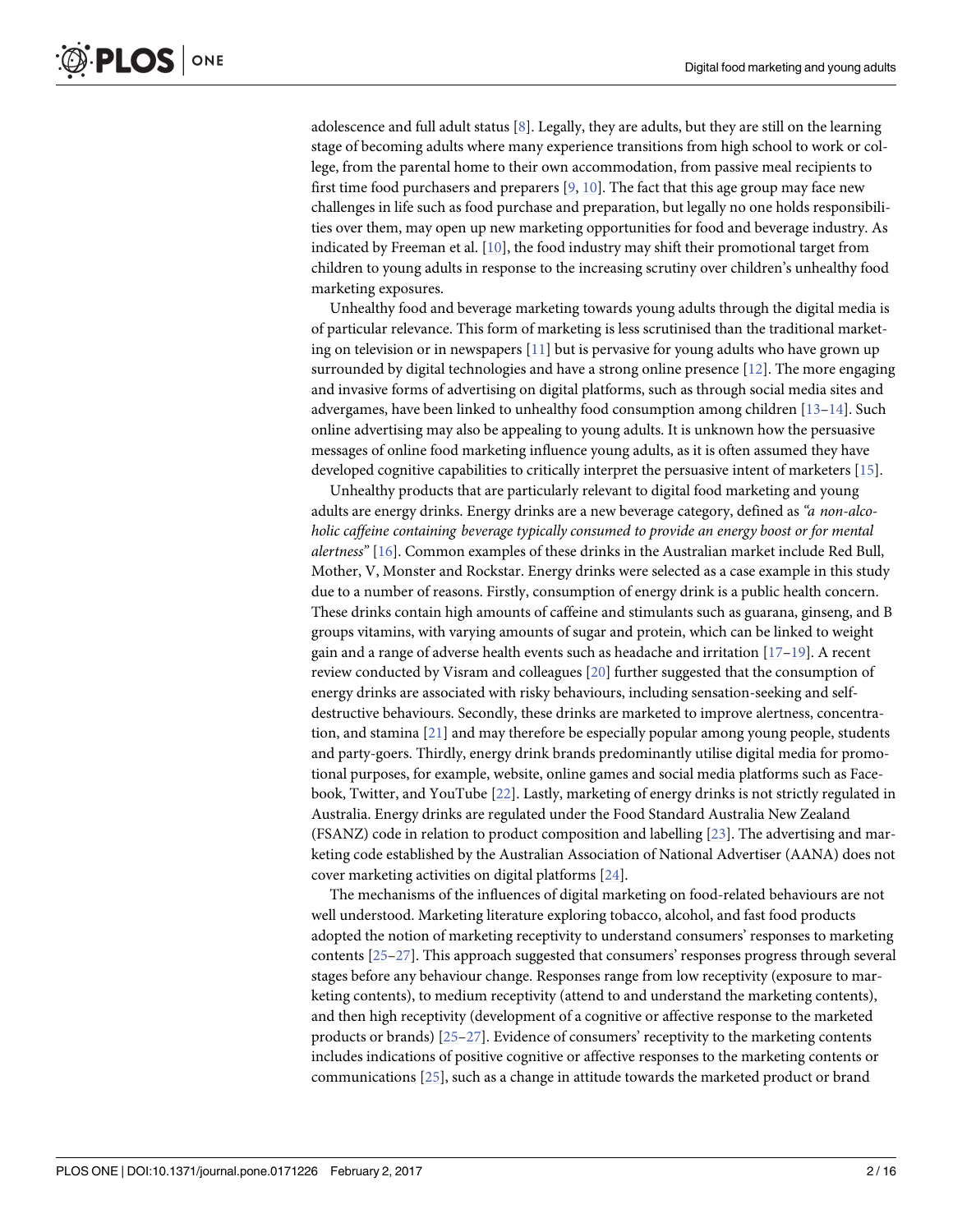<span id="page-3-0"></span>adolescence and full adult status [\[8\]](#page-15-0). Legally, they are adults, but they are still on the learning stage of becoming adults where many experience transitions from high school to work or college, from the parental home to their own accommodation, from passive meal recipients to first time food purchasers and preparers  $[9, 10]$  $[9, 10]$  $[9, 10]$ . The fact that this age group may face new challenges in life such as food purchase and preparation, but legally no one holds responsibilities over them, may open up new marketing opportunities for food and beverage industry. As indicated by Freeman et al. [[10](#page-15-0)], the food industry may shift their promotional target from children to young adults in response to the increasing scrutiny over children's unhealthy food marketing exposures.

Unhealthy food and beverage marketing towards young adults through the digital media is of particular relevance. This form of marketing is less scrutinised than the traditional marketing on television or in newspapers  $[11]$  but is pervasive for young adults who have grown up surrounded by digital technologies and have a strong online presence [[12](#page-15-0)]. The more engaging and invasive forms of advertising on digital platforms, such as through social media sites and advergames, have been linked to unhealthy food consumption among children [[13](#page-15-0)–[14](#page-15-0)]. Such online advertising may also be appealing to young adults. It is unknown how the persuasive messages of online food marketing influence young adults, as it is often assumed they have developed cognitive capabilities to critically interpret the persuasive intent of marketers [\[15\]](#page-15-0).

Unhealthy products that are particularly relevant to digital food marketing and young adults are energy drinks. Energy drinks are a new beverage category, defined as *"a non-alcoholic caffeine containing beverage typically consumed to provide an energy boost or for mental alertness"* [[16](#page-15-0)]. Common examples of these drinks in the Australian market include Red Bull, Mother, V, Monster and Rockstar. Energy drinks were selected as a case example in this study due to a number of reasons. Firstly, consumption of energy drink is a public health concern. These drinks contain high amounts of caffeine and stimulants such as guarana, ginseng, and B groups vitamins, with varying amounts of sugar and protein, which can be linked to weight gain and a range of adverse health events such as headache and irritation [[17–19\]](#page-16-0). A recent review conducted by Visram and colleagues [[20](#page-16-0)] further suggested that the consumption of energy drinks are associated with risky behaviours, including sensation-seeking and selfdestructive behaviours. Secondly, these drinks are marketed to improve alertness, concentration, and stamina [\[21\]](#page-16-0) and may therefore be especially popular among young people, students and party-goers. Thirdly, energy drink brands predominantly utilise digital media for promotional purposes, for example, website, online games and social media platforms such as Facebook, Twitter, and YouTube [[22](#page-16-0)]. Lastly, marketing of energy drinks is not strictly regulated in Australia. Energy drinks are regulated under the Food Standard Australia New Zealand (FSANZ) code in relation to product composition and labelling [\[23\]](#page-16-0). The advertising and marketing code established by the Australian Association of National Advertiser (AANA) does not cover marketing activities on digital platforms [[24](#page-16-0)].

The mechanisms of the influences of digital marketing on food-related behaviours are not well understood. Marketing literature exploring tobacco, alcohol, and fast food products adopted the notion of marketing receptivity to understand consumers' responses to marketing contents [[25–27\]](#page-16-0). This approach suggested that consumers' responses progress through several stages before any behaviour change. Responses range from low receptivity (exposure to marketing contents), to medium receptivity (attend to and understand the marketing contents), and then high receptivity (development of a cognitive or affective response to the marketed products or brands) [\[25–27](#page-16-0)]. Evidence of consumers' receptivity to the marketing contents includes indications of positive cognitive or affective responses to the marketing contents or communications [\[25\]](#page-16-0), such as a change in attitude towards the marketed product or brand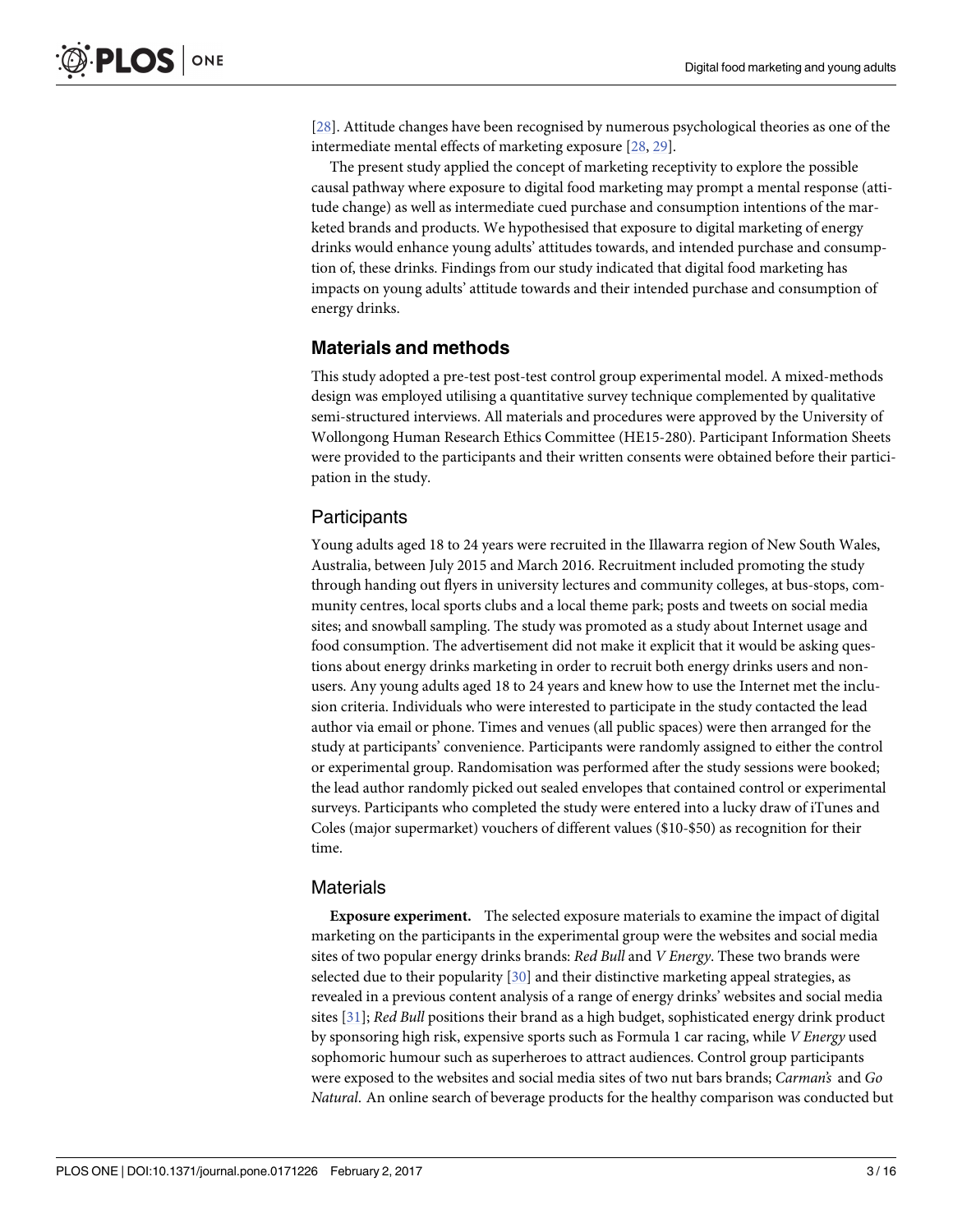<span id="page-4-0"></span>[\[28\]](#page-16-0). Attitude changes have been recognised by numerous psychological theories as one of the intermediate mental effects of marketing exposure [[28](#page-16-0), [29](#page-16-0)].

The present study applied the concept of marketing receptivity to explore the possible causal pathway where exposure to digital food marketing may prompt a mental response (attitude change) as well as intermediate cued purchase and consumption intentions of the marketed brands and products. We hypothesised that exposure to digital marketing of energy drinks would enhance young adults' attitudes towards, and intended purchase and consumption of, these drinks. Findings from our study indicated that digital food marketing has impacts on young adults' attitude towards and their intended purchase and consumption of energy drinks.

### **Materials and methods**

This study adopted a pre-test post-test control group experimental model. A mixed-methods design was employed utilising a quantitative survey technique complemented by qualitative semi-structured interviews. All materials and procedures were approved by the University of Wollongong Human Research Ethics Committee (HE15-280). Participant Information Sheets were provided to the participants and their written consents were obtained before their participation in the study.

### Participants

Young adults aged 18 to 24 years were recruited in the Illawarra region of New South Wales, Australia, between July 2015 and March 2016. Recruitment included promoting the study through handing out flyers in university lectures and community colleges, at bus-stops, community centres, local sports clubs and a local theme park; posts and tweets on social media sites; and snowball sampling. The study was promoted as a study about Internet usage and food consumption. The advertisement did not make it explicit that it would be asking questions about energy drinks marketing in order to recruit both energy drinks users and nonusers. Any young adults aged 18 to 24 years and knew how to use the Internet met the inclusion criteria. Individuals who were interested to participate in the study contacted the lead author via email or phone. Times and venues (all public spaces) were then arranged for the study at participants' convenience. Participants were randomly assigned to either the control or experimental group. Randomisation was performed after the study sessions were booked; the lead author randomly picked out sealed envelopes that contained control or experimental surveys. Participants who completed the study were entered into a lucky draw of iTunes and Coles (major supermarket) vouchers of different values (\$10-\$50) as recognition for their time.

#### **Materials**

**Exposure experiment.** The selected exposure materials to examine the impact of digital marketing on the participants in the experimental group were the websites and social media sites of two popular energy drinks brands: *Red Bull* and *V Energy*. These two brands were selected due to their popularity [[30](#page-16-0)] and their distinctive marketing appeal strategies, as revealed in a previous content analysis of a range of energy drinks' websites and social media sites [[31](#page-16-0)]; *Red Bull* positions their brand as a high budget, sophisticated energy drink product by sponsoring high risk, expensive sports such as Formula 1 car racing, while *V Energy* used sophomoric humour such as superheroes to attract audiences. Control group participants were exposed to the websites and social media sites of two nut bars brands; *Carman's* and *Go Natural*. An online search of beverage products for the healthy comparison was conducted but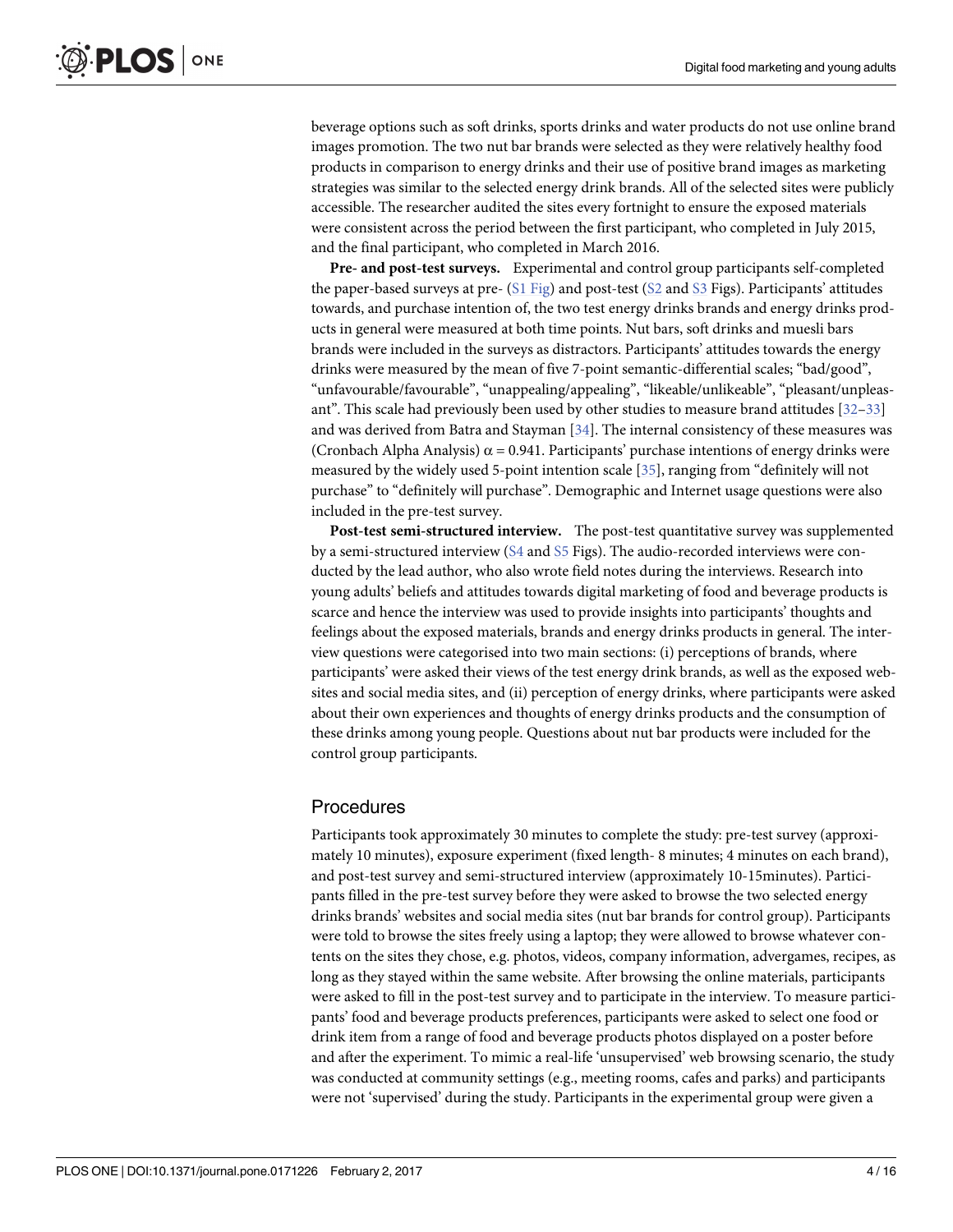<span id="page-5-0"></span>beverage options such as soft drinks, sports drinks and water products do not use online brand images promotion. The two nut bar brands were selected as they were relatively healthy food products in comparison to energy drinks and their use of positive brand images as marketing strategies was similar to the selected energy drink brands. All of the selected sites were publicly accessible. The researcher audited the sites every fortnight to ensure the exposed materials were consistent across the period between the first participant, who completed in July 2015, and the final participant, who completed in March 2016.

**Pre- and post-test surveys.** Experimental and control group participants self-completed the paper-based surveys at pre- (S1 [Fig](#page-14-0)) and post-test [\(S2](#page-14-0) and [S3](#page-14-0) Figs). Participants' attitudes towards, and purchase intention of, the two test energy drinks brands and energy drinks products in general were measured at both time points. Nut bars, soft drinks and muesli bars brands were included in the surveys as distractors. Participants' attitudes towards the energy drinks were measured by the mean of five 7-point semantic-differential scales; "bad/good", "unfavourable/favourable", "unappealing/appealing", "likeable/unlikeable", "pleasant/unpleasant". This scale had previously been used by other studies to measure brand attitudes [[32–33\]](#page-16-0) and was derived from Batra and Stayman [\[34\]](#page-16-0). The internal consistency of these measures was (Cronbach Alpha Analysis)  $\alpha$  = 0.941. Participants' purchase intentions of energy drinks were measured by the widely used 5-point intention scale [\[35\]](#page-16-0), ranging from "definitely will not purchase" to "definitely will purchase". Demographic and Internet usage questions were also included in the pre-test survey.

**Post-test semi-structured interview.** The post-test quantitative survey was supplemented by a semi-structured interview [\(S4](#page-14-0) and [S5](#page-14-0) Figs). The audio-recorded interviews were conducted by the lead author, who also wrote field notes during the interviews. Research into young adults' beliefs and attitudes towards digital marketing of food and beverage products is scarce and hence the interview was used to provide insights into participants' thoughts and feelings about the exposed materials, brands and energy drinks products in general. The interview questions were categorised into two main sections: (i) perceptions of brands, where participants' were asked their views of the test energy drink brands, as well as the exposed websites and social media sites, and (ii) perception of energy drinks, where participants were asked about their own experiences and thoughts of energy drinks products and the consumption of these drinks among young people. Questions about nut bar products were included for the control group participants.

#### **Procedures**

Participants took approximately 30 minutes to complete the study: pre-test survey (approximately 10 minutes), exposure experiment (fixed length- 8 minutes; 4 minutes on each brand), and post-test survey and semi-structured interview (approximately 10-15minutes). Participants filled in the pre-test survey before they were asked to browse the two selected energy drinks brands' websites and social media sites (nut bar brands for control group). Participants were told to browse the sites freely using a laptop; they were allowed to browse whatever contents on the sites they chose, e.g. photos, videos, company information, advergames, recipes, as long as they stayed within the same website. After browsing the online materials, participants were asked to fill in the post-test survey and to participate in the interview. To measure participants' food and beverage products preferences, participants were asked to select one food or drink item from a range of food and beverage products photos displayed on a poster before and after the experiment. To mimic a real-life 'unsupervised' web browsing scenario, the study was conducted at community settings (e.g., meeting rooms, cafes and parks) and participants were not 'supervised' during the study. Participants in the experimental group were given a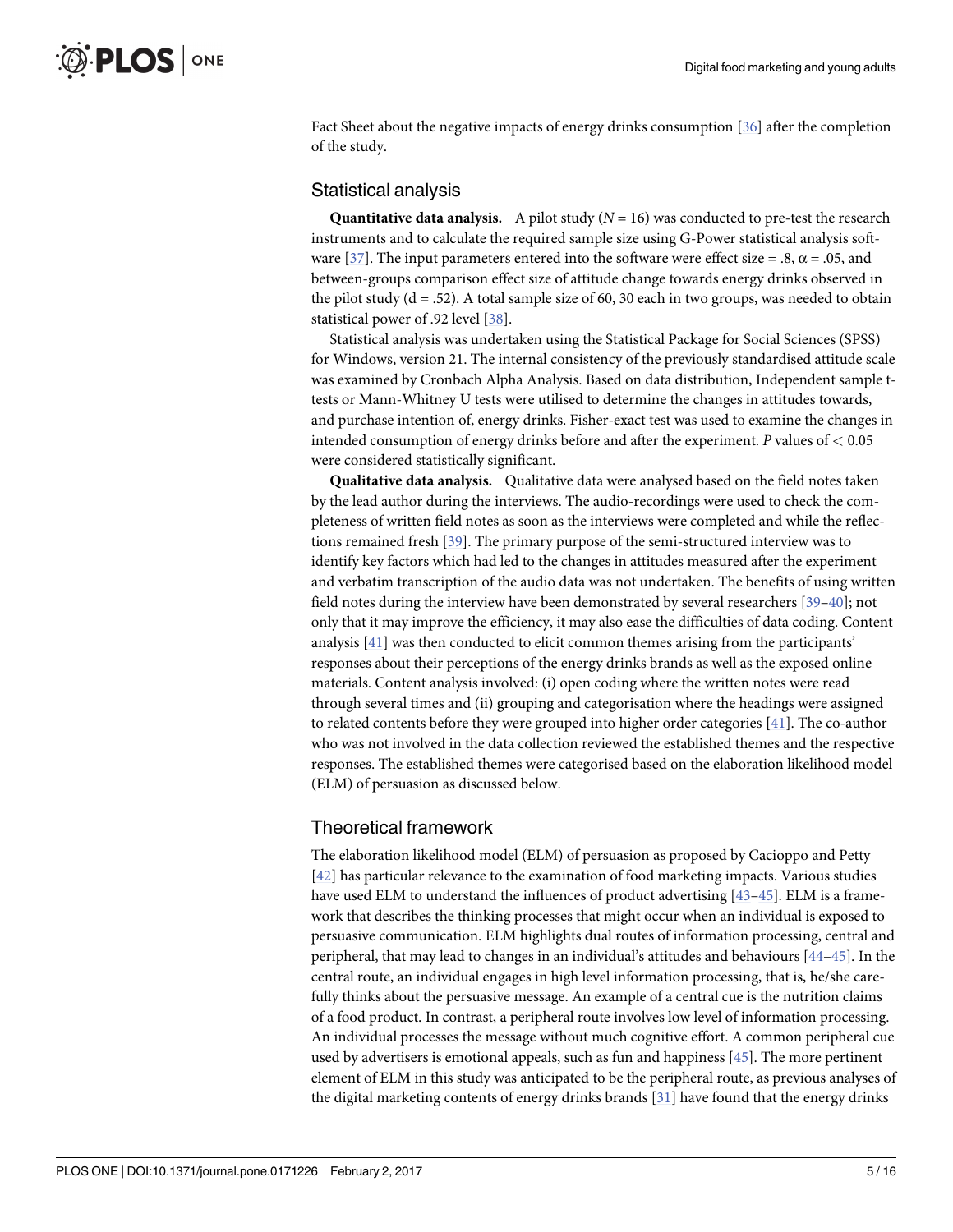<span id="page-6-0"></span>Fact Sheet about the negative impacts of energy drinks consumption [\[36\]](#page-16-0) after the completion of the study.

#### Statistical analysis

**Quantitative data analysis.** A pilot study  $(N = 16)$  was conducted to pre-test the research instruments and to calculate the required sample size using G-Power statistical analysis soft-ware [[37](#page-16-0)]. The input parameters entered into the software were effect size = .8,  $\alpha$  = .05, and between-groups comparison effect size of attitude change towards energy drinks observed in the pilot study ( $d = .52$ ). A total sample size of 60, 30 each in two groups, was needed to obtain statistical power of .92 level [[38](#page-16-0)].

Statistical analysis was undertaken using the Statistical Package for Social Sciences (SPSS) for Windows, version 21. The internal consistency of the previously standardised attitude scale was examined by Cronbach Alpha Analysis. Based on data distribution, Independent sample ttests or Mann-Whitney U tests were utilised to determine the changes in attitudes towards, and purchase intention of, energy drinks. Fisher-exact test was used to examine the changes in intended consumption of energy drinks before and after the experiment. *P* values of *<* 0.05 were considered statistically significant.

**Qualitative data analysis.** Qualitative data were analysed based on the field notes taken by the lead author during the interviews. The audio-recordings were used to check the completeness of written field notes as soon as the interviews were completed and while the reflections remained fresh [[39](#page-16-0)]. The primary purpose of the semi-structured interview was to identify key factors which had led to the changes in attitudes measured after the experiment and verbatim transcription of the audio data was not undertaken. The benefits of using written field notes during the interview have been demonstrated by several researchers [[39](#page-16-0)–[40](#page-16-0)]; not only that it may improve the efficiency, it may also ease the difficulties of data coding. Content analysis [[41](#page-16-0)] was then conducted to elicit common themes arising from the participants' responses about their perceptions of the energy drinks brands as well as the exposed online materials. Content analysis involved: (i) open coding where the written notes were read through several times and (ii) grouping and categorisation where the headings were assigned to related contents before they were grouped into higher order categories [\[41\]](#page-16-0). The co-author who was not involved in the data collection reviewed the established themes and the respective responses. The established themes were categorised based on the elaboration likelihood model (ELM) of persuasion as discussed below.

#### Theoretical framework

The elaboration likelihood model (ELM) of persuasion as proposed by Cacioppo and Petty [\[42\]](#page-17-0) has particular relevance to the examination of food marketing impacts. Various studies have used ELM to understand the influences of product advertising  $[43-45]$  $[43-45]$  $[43-45]$  $[43-45]$  $[43-45]$ . ELM is a framework that describes the thinking processes that might occur when an individual is exposed to persuasive communication. ELM highlights dual routes of information processing, central and peripheral, that may lead to changes in an individual's attitudes and behaviours [[44–45\]](#page-17-0). In the central route, an individual engages in high level information processing, that is, he/she carefully thinks about the persuasive message. An example of a central cue is the nutrition claims of a food product. In contrast, a peripheral route involves low level of information processing. An individual processes the message without much cognitive effort. A common peripheral cue used by advertisers is emotional appeals, such as fun and happiness [[45](#page-17-0)]. The more pertinent element of ELM in this study was anticipated to be the peripheral route, as previous analyses of the digital marketing contents of energy drinks brands [[31](#page-16-0)] have found that the energy drinks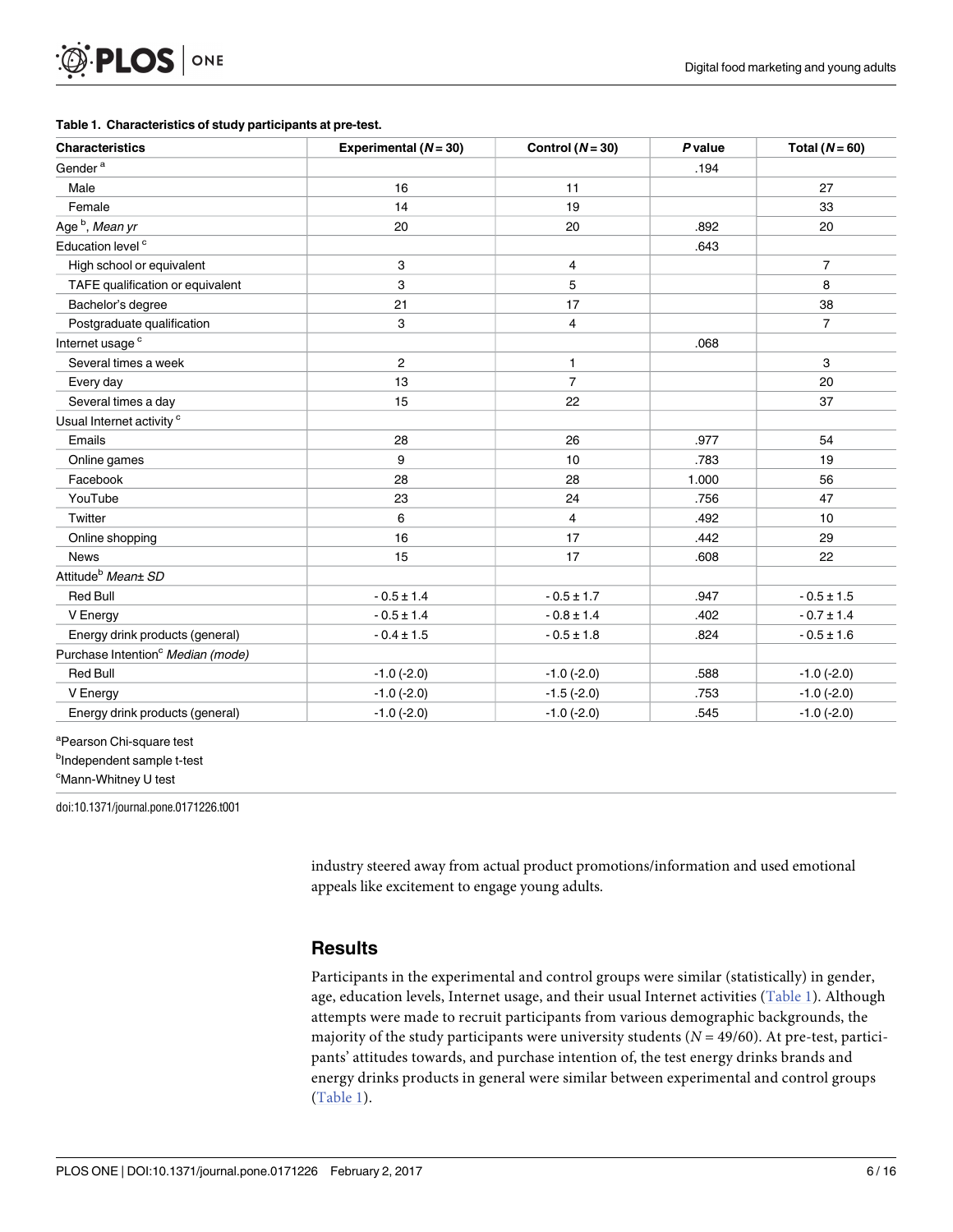#### **Table 1. Characteristics of study participants at pre-test.**

| <b>Characteristics</b>                        | Experimental $(N = 30)$ | Control $(N = 30)$ | P value | Total $(N = 60)$ |
|-----------------------------------------------|-------------------------|--------------------|---------|------------------|
| Gender <sup>a</sup>                           |                         |                    | .194    |                  |
| Male                                          | 16                      | 11                 |         | 27               |
| Female                                        | 14                      | 19                 |         | 33               |
| Age b, Mean yr                                | 20                      | 20                 | .892    | 20               |
| Education level <sup>c</sup>                  |                         |                    | .643    |                  |
| High school or equivalent                     | 3                       | 4                  |         | 7                |
| TAFE qualification or equivalent              | 3                       | 5                  |         | 8                |
| Bachelor's degree                             | 21                      | 17                 |         | 38               |
| Postgraduate qualification                    | 3                       | 4                  |         | $\overline{7}$   |
| Internet usage <sup>c</sup>                   |                         |                    | .068    |                  |
| Several times a week                          | $\overline{c}$          | 1                  |         | 3                |
| Every day                                     | 13                      | 7                  |         | 20               |
| Several times a day                           | 15                      | 22                 |         | 37               |
| Usual Internet activity <sup>c</sup>          |                         |                    |         |                  |
| Emails                                        | 28                      | 26                 | .977    | 54               |
| Online games                                  | 9                       | 10                 | .783    | 19               |
| Facebook                                      | 28                      | 28                 | 1.000   | 56               |
| YouTube                                       | 23                      | 24                 | .756    | 47               |
| Twitter                                       | 6                       | 4                  | .492    | 10               |
| Online shopping                               | 16                      | 17                 | .442    | 29               |
| <b>News</b>                                   | 15                      | 17                 | .608    | 22               |
| Attitude <sup>b</sup> Mean <sup>+</sup> SD    |                         |                    |         |                  |
| <b>Red Bull</b>                               | $-0.5\pm1.4$            | $-0.5 \pm 1.7$     | .947    | $-0.5 \pm 1.5$   |
| V Energy                                      | $-0.5 \pm 1.4$          | $-0.8 \pm 1.4$     | .402    | $-0.7 \pm 1.4$   |
| Energy drink products (general)               | $-0.4 \pm 1.5$          | $-0.5 \pm 1.8$     | .824    | $-0.5 \pm 1.6$   |
| Purchase Intention <sup>c</sup> Median (mode) |                         |                    |         |                  |
| <b>Red Bull</b>                               | $-1.0(-2.0)$            | $-1.0(-2.0)$       | .588    | $-1.0(-2.0)$     |
| V Energy                                      | $-1.0(-2.0)$            | $-1.5(-2.0)$       | .753    | $-1.0(-2.0)$     |
| Energy drink products (general)               | $-1.0(-2.0)$            | $-1.0(-2.0)$       | .545    | $-1.0(-2.0)$     |

<sup>a</sup>Pearson Chi-square test

<sup>b</sup>Independent sample t-test

#### <sup>c</sup>Mann-Whitney U test

doi:10.1371/journal.pone.0171226.t001

industry steered away from actual product promotions/information and used emotional appeals like excitement to engage young adults.

### **Results**

Participants in the experimental and control groups were similar (statistically) in gender, age, education levels, Internet usage, and their usual Internet activities (Table 1). Although attempts were made to recruit participants from various demographic backgrounds, the majority of the study participants were university students (*N* = 49/60). At pre-test, participants' attitudes towards, and purchase intention of, the test energy drinks brands and energy drinks products in general were similar between experimental and control groups (Table 1).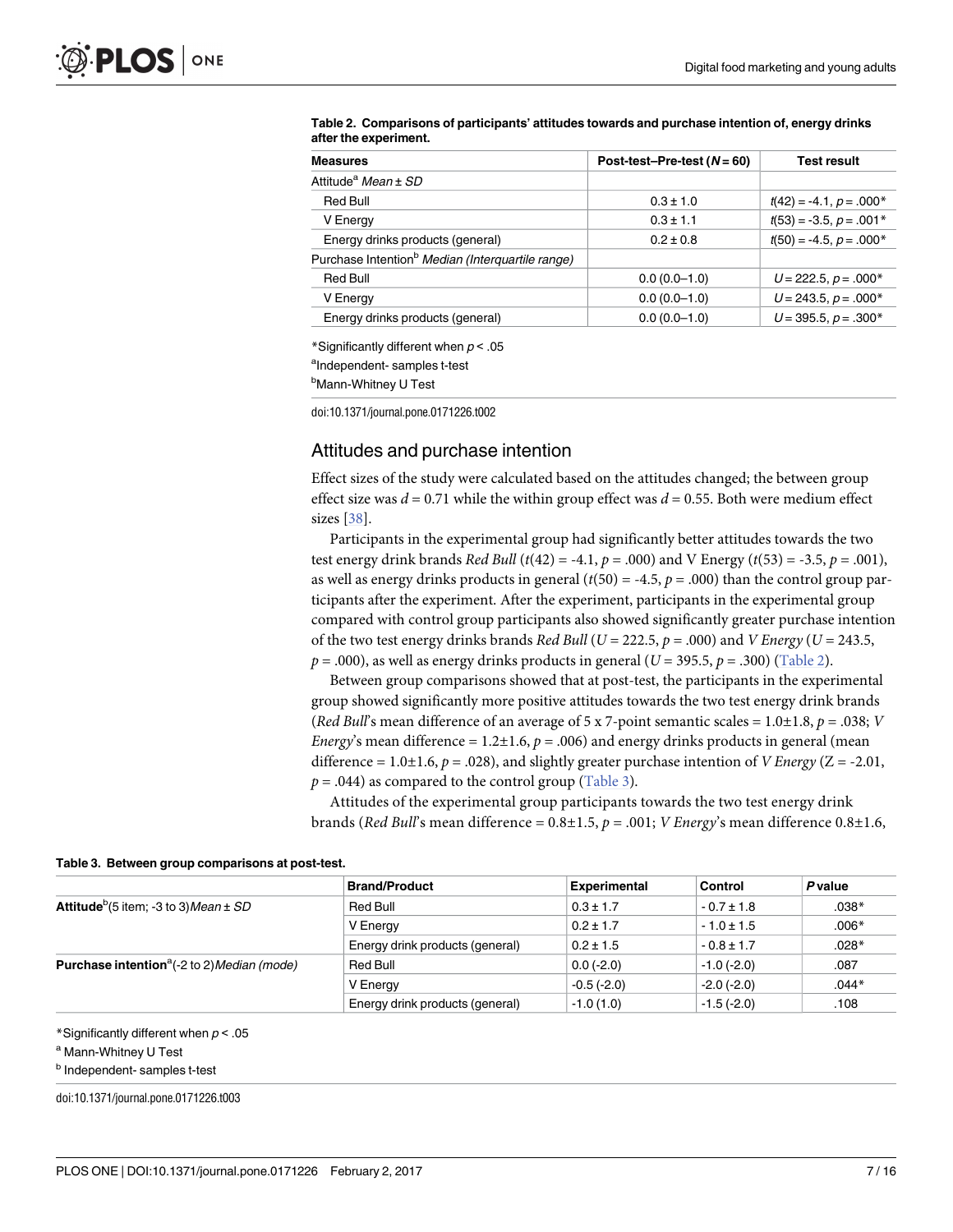| <b>Measures</b>                                              | Post-test-Pre-test $(N = 60)$ | <b>Test result</b>        |
|--------------------------------------------------------------|-------------------------------|---------------------------|
| Attitude <sup>a</sup> Mean $\pm$ SD                          |                               |                           |
| Red Bull                                                     | $0.3 \pm 1.0$                 | $t(42) = -4.1, p = .000*$ |
| V Energy                                                     | $0.3 + 1.1$                   | $t(53) = -3.5, p = .001*$ |
| Energy drinks products (general)                             | $0.2 + 0.8$                   | $t(50) = -4.5, p = .000*$ |
| Purchase Intention <sup>b</sup> Median (Interguartile range) |                               |                           |
| <b>Red Bull</b>                                              | $0.0(0.0-1.0)$                | $U = 222.5, p = .000*$    |
| V Energy                                                     | $0.0(0.0-1.0)$                | $U = 243.5, p = .000*$    |
| Energy drinks products (general)                             | $0.0(0.0-1.0)$                | $U = 395.5, p = .300*$    |

**Table 2. Comparisons of participants' attitudes towards and purchase intention of, energy drinks after the experiment.**

\*Significantly different when  $p < 0.05$ 

<sup>a</sup>Independent- samples t-test

<sup>b</sup>Mann-Whitney U Test

doi:10.1371/journal.pone.0171226.t002

#### Attitudes and purchase intention

Effect sizes of the study were calculated based on the attitudes changed; the between group effect size was  $d = 0.71$  while the within group effect was  $d = 0.55$ . Both were medium effect sizes [[38](#page-16-0)].

Participants in the experimental group had significantly better attitudes towards the two test energy drink brands *Red Bull* ( $t(42) = -4.1$ ,  $p = .000$ ) and V Energy ( $t(53) = -3.5$ ,  $p = .001$ ), as well as energy drinks products in general  $(t(50) = -4.5, p = .000)$  than the control group participants after the experiment. After the experiment, participants in the experimental group compared with control group participants also showed significantly greater purchase intention of the two test energy drinks brands *Red Bull* ( $U = 222.5$ ,  $p = .000$ ) and *V Energy* ( $U = 243.5$ ,  $p = .000$ , as well as energy drinks products in general ( $U = 395.5$ ,  $p = .300$ ) (Table 2).

Between group comparisons showed that at post-test, the participants in the experimental group showed significantly more positive attitudes towards the two test energy drink brands (*Red Bull*'s mean difference of an average of 5 x 7-point semantic scales = 1.0±1.8, *p* = .038; *V Energy*'s mean difference =  $1.2 \pm 1.6$ ,  $p = .006$ ) and energy drinks products in general (mean difference =  $1.0\pm 1.6$ ,  $p = .028$ ), and slightly greater purchase intention of *V Energy* ( $Z = -2.01$ ,  $p = .044$ ) as compared to the control group (Table 3).

Attitudes of the experimental group participants towards the two test energy drink brands (*Red Bull*'s mean difference =  $0.8 \pm 1.5$ ,  $p = .001$ ; *V Energy*'s mean difference  $0.8 \pm 1.6$ ,

|                                                                       | <b>Brand/Product</b>            | Experimental  | Control        | <b>P</b> value |
|-----------------------------------------------------------------------|---------------------------------|---------------|----------------|----------------|
| <b>Attitude</b> <sup>b</sup> (5 item; -3 to 3) <i>Mean</i> $\pm$ SD   | Red Bull                        | $0.3 \pm 1.7$ | $-0.7 \pm 1.8$ | $.038*$        |
|                                                                       | V Energy                        | $0.2 \pm 1.7$ | $-1.0 \pm 1.5$ | $.006*$        |
|                                                                       | Energy drink products (general) | $0.2 \pm 1.5$ | $-0.8 \pm 1.7$ | $.028*$        |
| <b>Purchase intention</b> <sup>a</sup> (-2 to 2) <i>Median (mode)</i> | Red Bull                        | $0.0(-2.0)$   | $-1.0(-2.0)$   | .087           |
|                                                                       | V Energy                        | $-0.5(-2.0)$  | $-2.0(-2.0)$   | $.044*$        |
|                                                                       | Energy drink products (general) | $-1.0(1.0)$   | $-1.5(-2.0)$   | .108           |

**Table 3. Between group comparisons at post-test.**

\*Significantly different when  $p < 0.05$ 

a Mann-Whitney U Test

**b** Independent- samples t-test

doi:10.1371/journal.pone.0171226.t003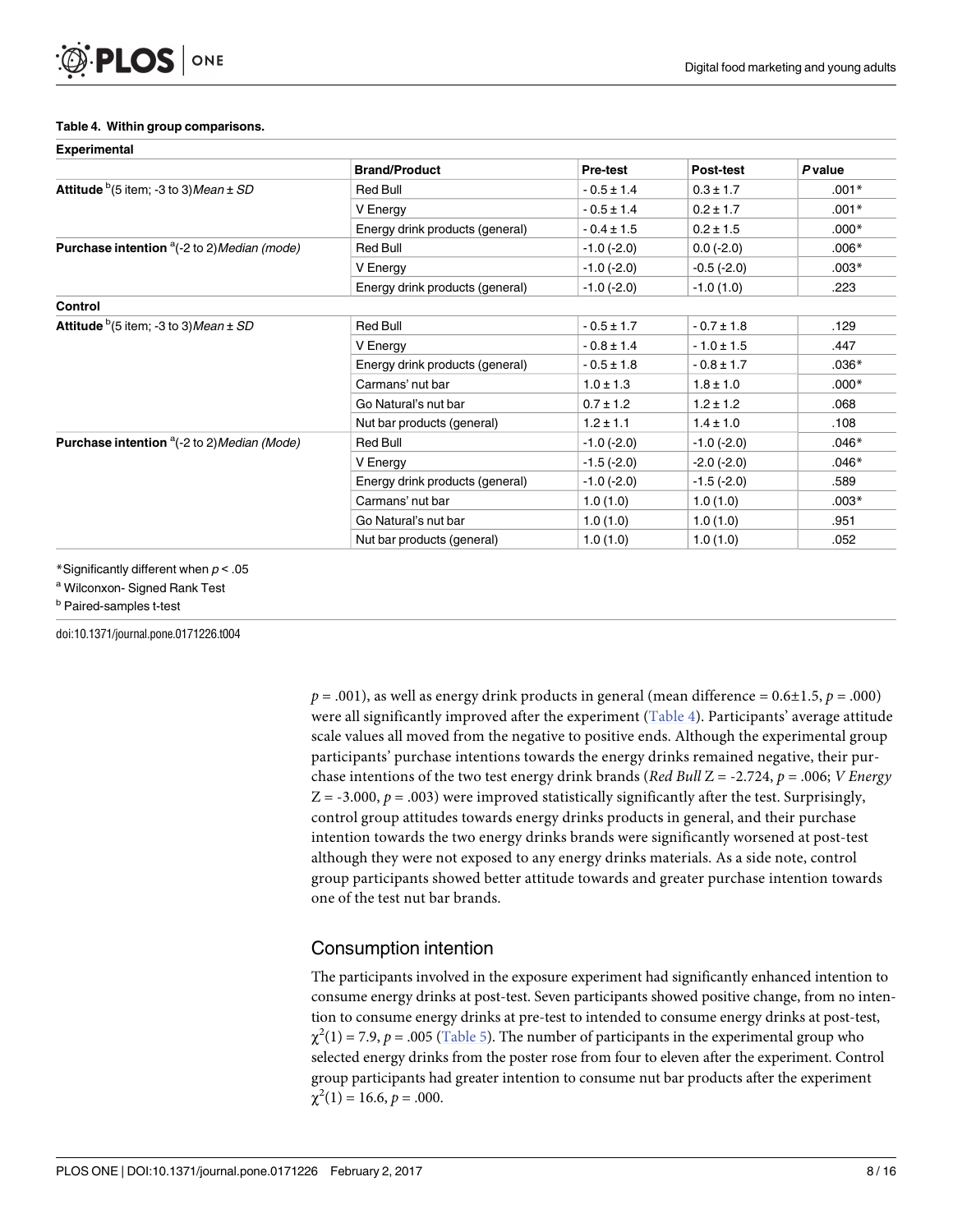#### <span id="page-9-0"></span>**Table 4. Within group comparisons.**

| <b>Experimental</b>                                                   |                                 |                 |                |                |
|-----------------------------------------------------------------------|---------------------------------|-----------------|----------------|----------------|
|                                                                       | <b>Brand/Product</b>            | <b>Pre-test</b> | Post-test      | <b>P</b> value |
| <b>Attitude</b> $b(5)$ item; -3 to 3) Mean $\pm$ SD                   | <b>Red Bull</b>                 | $-0.5 \pm 1.4$  | $0.3 \pm 1.7$  | $.001*$        |
|                                                                       | V Energy                        | $-0.5 \pm 1.4$  | $0.2 \pm 1.7$  | $.001*$        |
|                                                                       | Energy drink products (general) | $-0.4 \pm 1.5$  | $0.2 \pm 1.5$  | $.000*$        |
| <b>Purchase intention</b> $^a(-2 \text{ to } 2)$ <i>Median (mode)</i> | Red Bull                        | $-1.0(-2.0)$    | $0.0(-2.0)$    | $.006*$        |
|                                                                       | V Energy                        | $-1.0(-2.0)$    | $-0.5(-2.0)$   | $.003*$        |
|                                                                       | Energy drink products (general) | $-1.0(-2.0)$    | $-1.0(1.0)$    | .223           |
| Control                                                               |                                 |                 |                |                |
| <b>Attitude</b> $^{b}$ (5 item; -3 to 3) Mean $\pm$ SD                | <b>Red Bull</b>                 | $-0.5 \pm 1.7$  | $-0.7 \pm 1.8$ | .129           |
|                                                                       | V Energy                        | $-0.8 \pm 1.4$  | $-1.0 \pm 1.5$ | .447           |
|                                                                       | Energy drink products (general) | $-0.5 \pm 1.8$  | $-0.8 \pm 1.7$ | $.036*$        |
|                                                                       | Carmans' nut bar                | $1.0 \pm 1.3$   | $1.8 \pm 1.0$  | $.000*$        |
|                                                                       | Go Natural's nut bar            | $0.7 \pm 1.2$   | $1.2 \pm 1.2$  | .068           |
|                                                                       | Nut bar products (general)      | $1.2 \pm 1.1$   | $1.4 \pm 1.0$  | .108           |
| <b>Purchase intention</b> $^a$ (-2 to 2) Median (Mode)                | <b>Red Bull</b>                 | $-1.0(-2.0)$    | $-1.0(-2.0)$   | $.046*$        |
|                                                                       | V Energy                        | $-1.5(-2.0)$    | $-2.0(-2.0)$   | $.046*$        |
|                                                                       | Energy drink products (general) | $-1.0(-2.0)$    | $-1.5(-2.0)$   | .589           |
|                                                                       | Carmans' nut bar                | 1.0(1.0)        | 1.0(1.0)       | $.003*$        |
|                                                                       | Go Natural's nut bar            | 1.0(1.0)        | 1.0(1.0)       | .951           |
|                                                                       | Nut bar products (general)      | 1.0(1.0)        | 1.0(1.0)       | .052           |

\*Significantly different when  $p < 0.05$ 

<sup>a</sup> Wilconxon- Signed Rank Test

**b** Paired-samples t-test

doi:10.1371/journal.pone.0171226.t004

 $p = .001$ ), as well as energy drink products in general (mean difference =  $0.6 \pm 1.5$ ,  $p = .000$ ) were all significantly improved after the experiment (Table 4). Participants' average attitude scale values all moved from the negative to positive ends. Although the experimental group participants' purchase intentions towards the energy drinks remained negative, their purchase intentions of the two test energy drink brands (*Red Bull* Z = -2.724, *p* = .006; *V Energy*  $Z = -3.000$ ,  $p = .003$ ) were improved statistically significantly after the test. Surprisingly, control group attitudes towards energy drinks products in general, and their purchase intention towards the two energy drinks brands were significantly worsened at post-test although they were not exposed to any energy drinks materials. As a side note, control group participants showed better attitude towards and greater purchase intention towards one of the test nut bar brands.

# Consumption intention

The participants involved in the exposure experiment had significantly enhanced intention to consume energy drinks at post-test. Seven participants showed positive change, from no intention to consume energy drinks at pre-test to intended to consume energy drinks at post-test,  $\chi^2(1) = 7.9$ ,  $p = .005$  ([Table](#page-10-0) 5). The number of participants in the experimental group who selected energy drinks from the poster rose from four to eleven after the experiment. Control group participants had greater intention to consume nut bar products after the experiment  $\chi^2(1) = 16.6, p = .000.$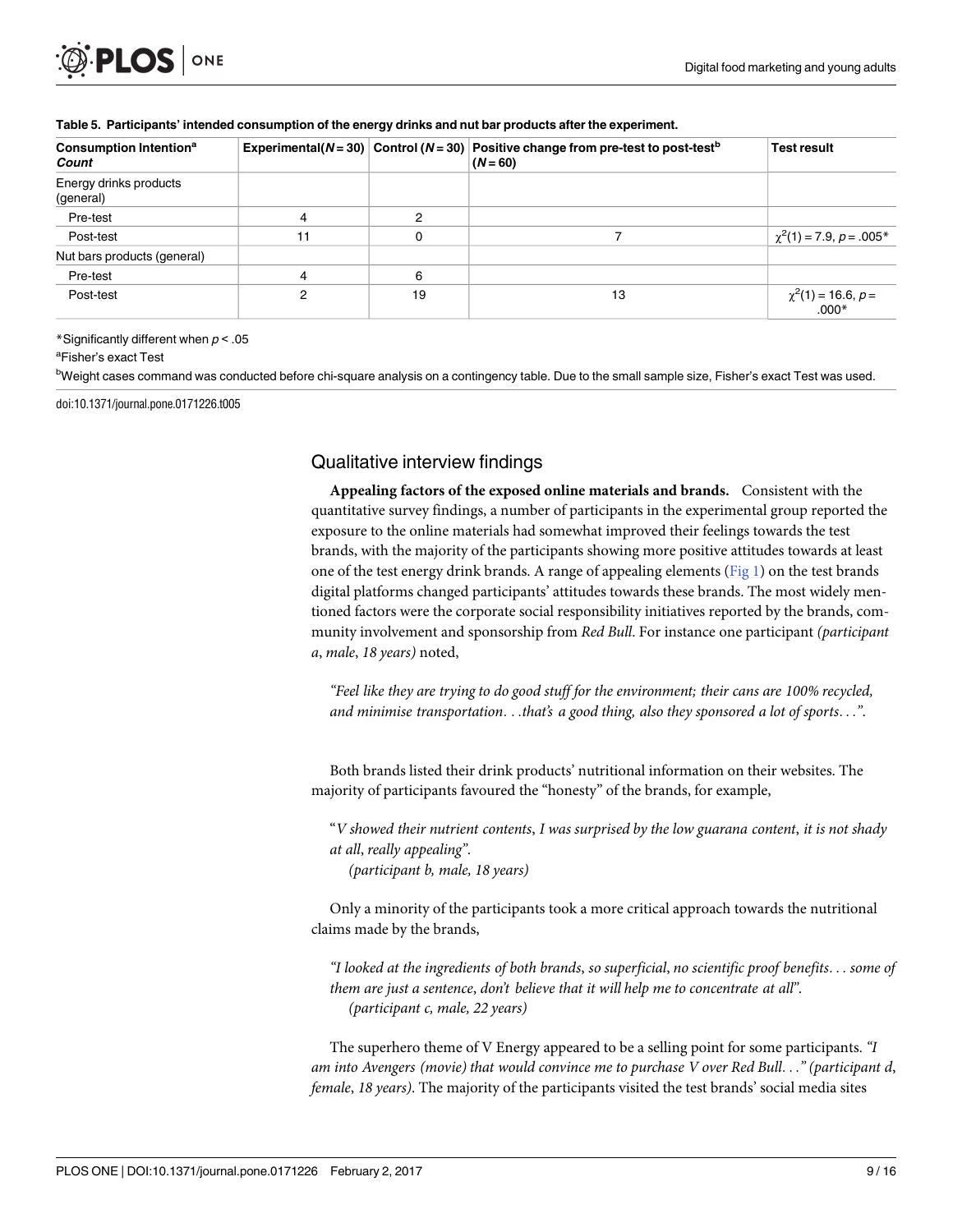<span id="page-10-0"></span>

| Consumption Intention <sup>a</sup><br>Count |    |    | Experimental(N = 30) Control (N = 30) Positive change from pre-test to post-test <sup>b</sup><br>$(N = 60)$ | <b>Test result</b>                 |
|---------------------------------------------|----|----|-------------------------------------------------------------------------------------------------------------|------------------------------------|
| Energy drinks products<br>(general)         |    |    |                                                                                                             |                                    |
| Pre-test                                    | 4  | 2  |                                                                                                             |                                    |
| Post-test                                   | 11 | 0  |                                                                                                             | $\chi^2(1) = 7.9, p = .005^*$      |
| Nut bars products (general)                 |    |    |                                                                                                             |                                    |
| Pre-test                                    | 4  | 6  |                                                                                                             |                                    |
| Post-test                                   | c  | 19 | 13                                                                                                          | $\chi^2(1) = 16.6, p =$<br>$.000*$ |

#### **[Table](#page-9-0) 5. Participants' intended consumption of the energy drinks and nut bar products after the experiment.**

\*Significantly different when  $p < 0.05$ 

<sup>a</sup>Fisher's exact Test

b<br>Weight cases command was conducted before chi-square analysis on a contingency table. Due to the small sample size, Fisher's exact Test was used.

doi:10.1371/journal.pone.0171226.t005

#### Qualitative interview findings

**Appealing factors of the exposed online materials and brands.** Consistent with the quantitative survey findings, a number of participants in the experimental group reported the exposure to the online materials had somewhat improved their feelings towards the test brands, with the majority of the participants showing more positive attitudes towards at least one of the test energy drink brands. A range of appealing elements ([Fig](#page-11-0) 1) on the test brands digital platforms changed participants' attitudes towards these brands. The most widely mentioned factors were the corporate social responsibility initiatives reported by the brands, community involvement and sponsorship from *Red Bull*. For instance one participant *(participant a*, *male*, *18 years)* noted,

*"Feel like they are trying to do good stuff for the environment; their cans are 100% recycled, and minimise transportation*. . .*that's a good thing, also they sponsored a lot of sports*. . .*"*.

Both brands listed their drink products' nutritional information on their websites. The majority of participants favoured the "honesty" of the brands, for example,

"*V showed their nutrient contents*, *I was surprised by the low guarana content*, *it is not shady at all*, *really appealing"*.

*(participant b, male, 18 years)*

Only a minority of the participants took a more critical approach towards the nutritional claims made by the brands,

*"I looked at the ingredients of both brands*, *so superficial*, *no scientific proof benefits*. . . *some of them are just a sentence*, *don't believe that it will help me to concentrate at all"*. *(participant c, male, 22 years)*

The superhero theme of V Energy appeared to be a selling point for some participants. *"I am into Avengers (movie) that would convince me to purchase V over Red Bull*. . .*" (participant d*, *female*, *18 years)*. The majority of the participants visited the test brands' social media sites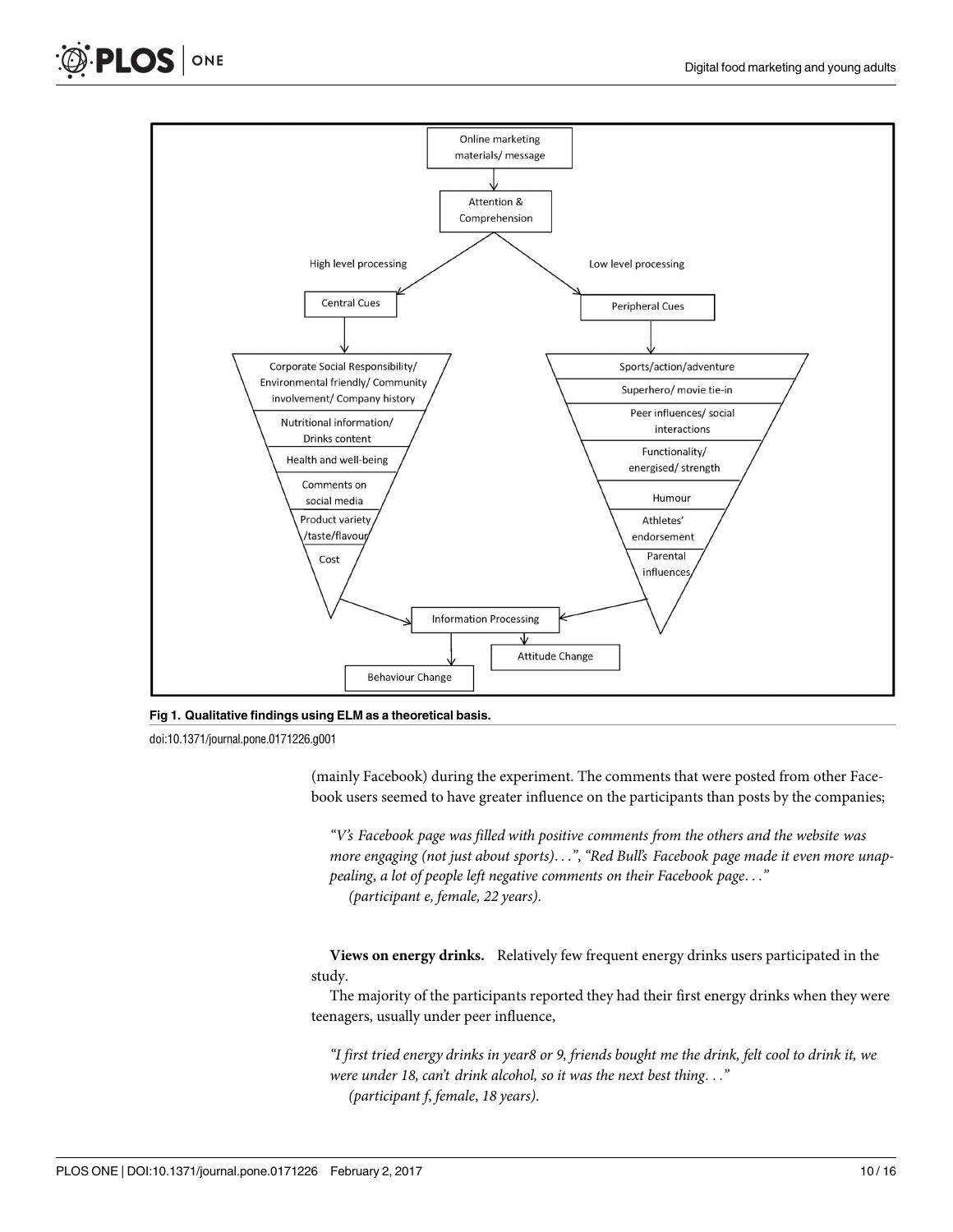<span id="page-11-0"></span>



**[Fig](#page-10-0) 1. Qualitative findings using ELM as a theoretical basis.**

doi:10.1371/journal.pone.0171226.g001

(mainly Facebook) during the experiment. The comments that were posted from other Facebook users seemed to have greater influence on the participants than posts by the companies;

*"V's Facebook page was filled with positive comments from the others and the website was more engaging (not just about sports)*. . .*"*, *"Red Bull's Facebook page made it even more unappealing*, *a lot of people left negative comments on their Facebook page*. . .*" (participant e, female, 22 years)*.

**Views on energy drinks.** Relatively few frequent energy drinks users participated in the study.

The majority of the participants reported they had their first energy drinks when they were teenagers, usually under peer influence,

"I first tried energy drinks in year8 or 9, friends bought me the drink, felt cool to drink it, we *were under 18, can't drink alcohol, so it was the next best thing*. . .*" (participant f*, *female*, *18 years)*.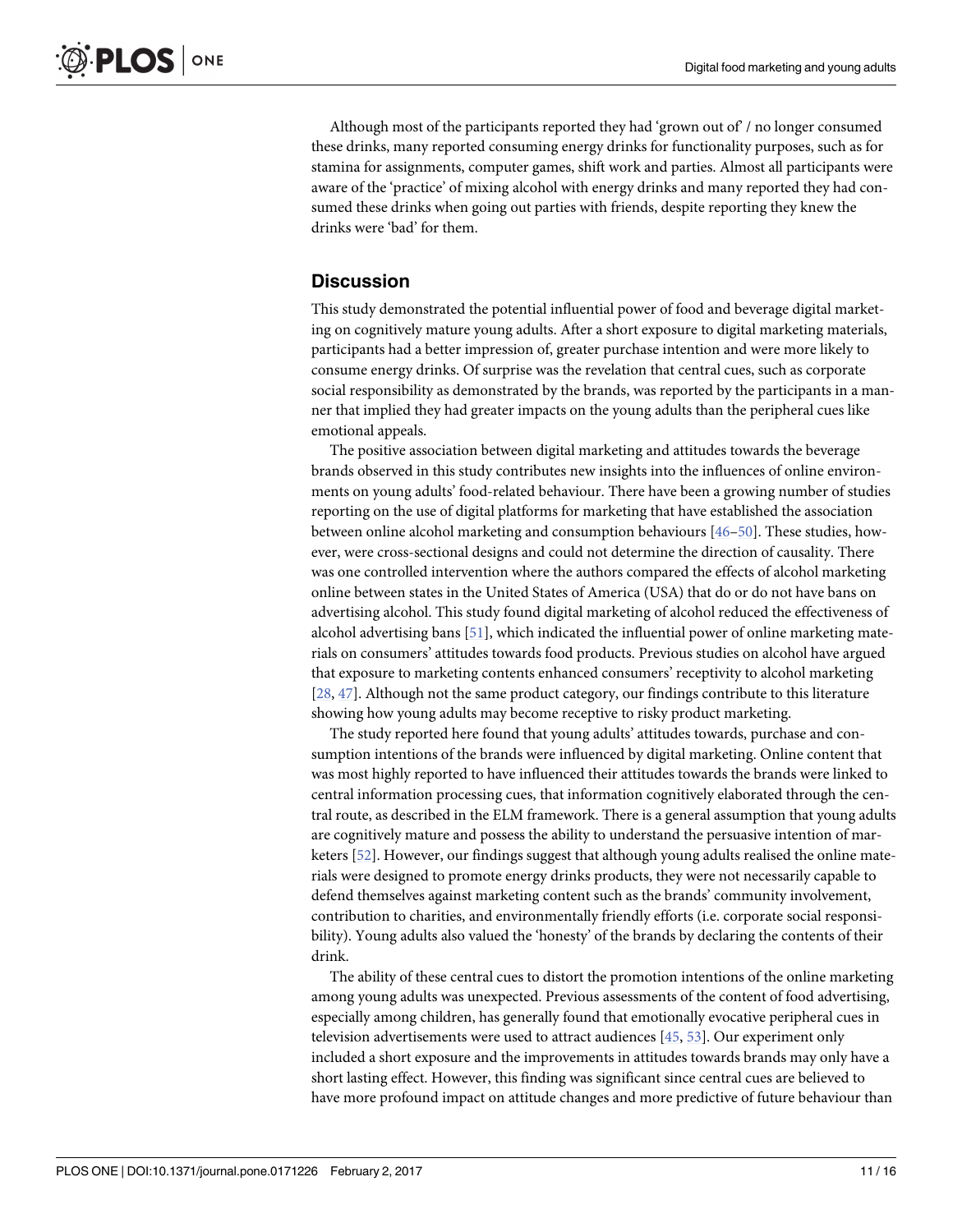<span id="page-12-0"></span>Although most of the participants reported they had 'grown out of'  $/$  no longer consumed these drinks, many reported consuming energy drinks for functionality purposes, such as for stamina for assignments, computer games, shift work and parties. Almost all participants were aware of the 'practice' of mixing alcohol with energy drinks and many reported they had consumed these drinks when going out parties with friends, despite reporting they knew the drinks were 'bad' for them.

## **Discussion**

This study demonstrated the potential influential power of food and beverage digital marketing on cognitively mature young adults. After a short exposure to digital marketing materials, participants had a better impression of, greater purchase intention and were more likely to consume energy drinks. Of surprise was the revelation that central cues, such as corporate social responsibility as demonstrated by the brands, was reported by the participants in a manner that implied they had greater impacts on the young adults than the peripheral cues like emotional appeals.

The positive association between digital marketing and attitudes towards the beverage brands observed in this study contributes new insights into the influences of online environments on young adults' food-related behaviour. There have been a growing number of studies reporting on the use of digital platforms for marketing that have established the association between online alcohol marketing and consumption behaviours [[46–50\]](#page-17-0). These studies, however, were cross-sectional designs and could not determine the direction of causality. There was one controlled intervention where the authors compared the effects of alcohol marketing online between states in the United States of America (USA) that do or do not have bans on advertising alcohol. This study found digital marketing of alcohol reduced the effectiveness of alcohol advertising bans [[51](#page-17-0)], which indicated the influential power of online marketing materials on consumers' attitudes towards food products. Previous studies on alcohol have argued that exposure to marketing contents enhanced consumers' receptivity to alcohol marketing [\[28,](#page-16-0) [47\]](#page-17-0). Although not the same product category, our findings contribute to this literature showing how young adults may become receptive to risky product marketing.

The study reported here found that young adults' attitudes towards, purchase and consumption intentions of the brands were influenced by digital marketing. Online content that was most highly reported to have influenced their attitudes towards the brands were linked to central information processing cues, that information cognitively elaborated through the central route, as described in the ELM framework. There is a general assumption that young adults are cognitively mature and possess the ability to understand the persuasive intention of marketers [\[52\]](#page-17-0). However, our findings suggest that although young adults realised the online materials were designed to promote energy drinks products, they were not necessarily capable to defend themselves against marketing content such as the brands' community involvement, contribution to charities, and environmentally friendly efforts (i.e. corporate social responsibility). Young adults also valued the 'honesty' of the brands by declaring the contents of their drink.

The ability of these central cues to distort the promotion intentions of the online marketing among young adults was unexpected. Previous assessments of the content of food advertising, especially among children, has generally found that emotionally evocative peripheral cues in television advertisements were used to attract audiences [\[45,](#page-17-0) [53\]](#page-17-0). Our experiment only included a short exposure and the improvements in attitudes towards brands may only have a short lasting effect. However, this finding was significant since central cues are believed to have more profound impact on attitude changes and more predictive of future behaviour than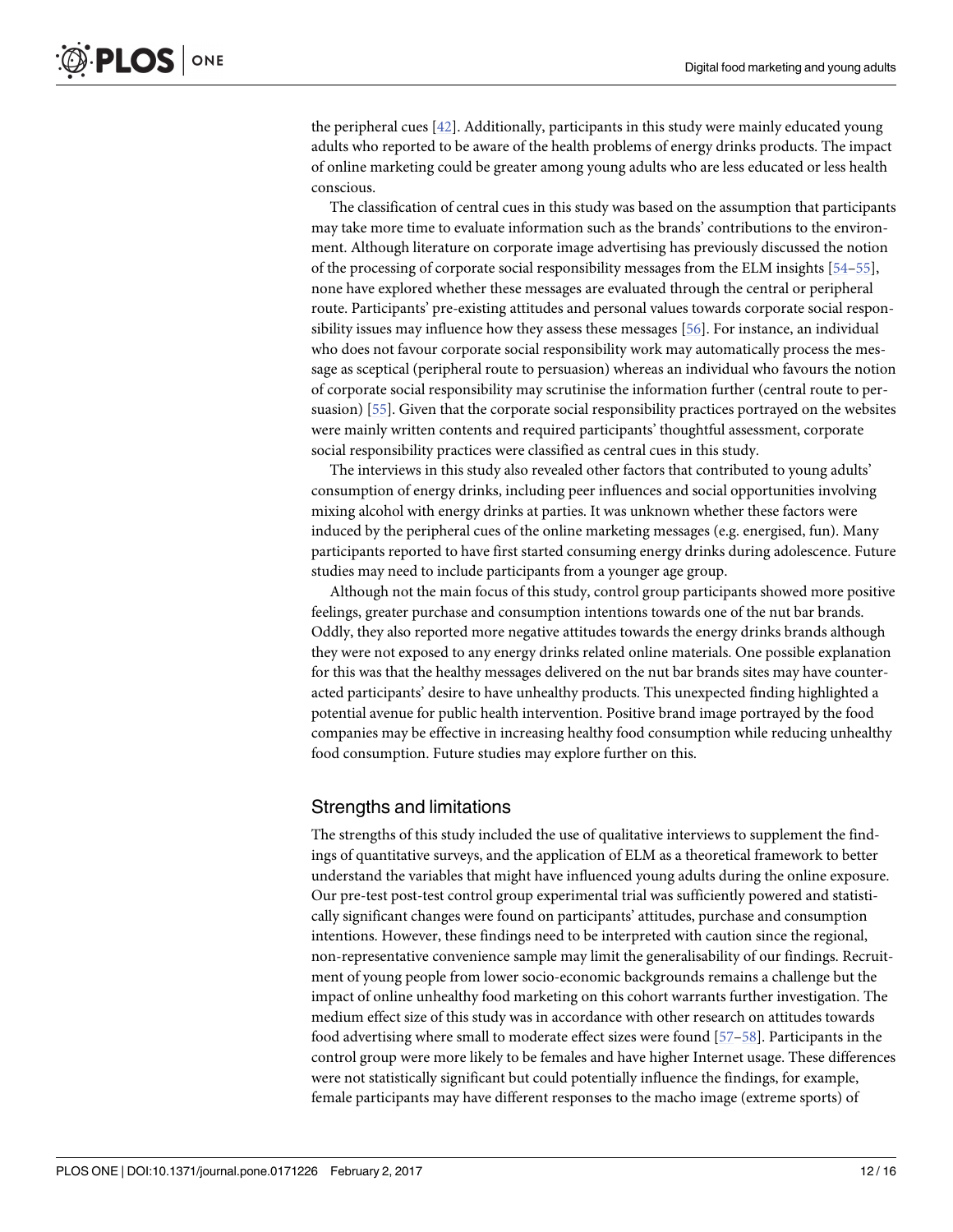<span id="page-13-0"></span>the peripheral cues [[42](#page-17-0)]. Additionally, participants in this study were mainly educated young adults who reported to be aware of the health problems of energy drinks products. The impact of online marketing could be greater among young adults who are less educated or less health conscious.

The classification of central cues in this study was based on the assumption that participants may take more time to evaluate information such as the brands' contributions to the environment. Although literature on corporate image advertising has previously discussed the notion of the processing of corporate social responsibility messages from the ELM insights [\[54–55\]](#page-17-0), none have explored whether these messages are evaluated through the central or peripheral route. Participants' pre-existing attitudes and personal values towards corporate social responsibility issues may influence how they assess these messages [\[56\]](#page-17-0). For instance, an individual who does not favour corporate social responsibility work may automatically process the message as sceptical (peripheral route to persuasion) whereas an individual who favours the notion of corporate social responsibility may scrutinise the information further (central route to persuasion) [\[55\]](#page-17-0). Given that the corporate social responsibility practices portrayed on the websites were mainly written contents and required participants' thoughtful assessment, corporate social responsibility practices were classified as central cues in this study.

The interviews in this study also revealed other factors that contributed to young adults' consumption of energy drinks, including peer influences and social opportunities involving mixing alcohol with energy drinks at parties. It was unknown whether these factors were induced by the peripheral cues of the online marketing messages (e.g. energised, fun). Many participants reported to have first started consuming energy drinks during adolescence. Future studies may need to include participants from a younger age group.

Although not the main focus of this study, control group participants showed more positive feelings, greater purchase and consumption intentions towards one of the nut bar brands. Oddly, they also reported more negative attitudes towards the energy drinks brands although they were not exposed to any energy drinks related online materials. One possible explanation for this was that the healthy messages delivered on the nut bar brands sites may have counteracted participants' desire to have unhealthy products. This unexpected finding highlighted a potential avenue for public health intervention. Positive brand image portrayed by the food companies may be effective in increasing healthy food consumption while reducing unhealthy food consumption. Future studies may explore further on this.

#### Strengths and limitations

The strengths of this study included the use of qualitative interviews to supplement the findings of quantitative surveys, and the application of ELM as a theoretical framework to better understand the variables that might have influenced young adults during the online exposure. Our pre-test post-test control group experimental trial was sufficiently powered and statistically significant changes were found on participants' attitudes, purchase and consumption intentions. However, these findings need to be interpreted with caution since the regional, non-representative convenience sample may limit the generalisability of our findings. Recruitment of young people from lower socio-economic backgrounds remains a challenge but the impact of online unhealthy food marketing on this cohort warrants further investigation. The medium effect size of this study was in accordance with other research on attitudes towards food advertising where small to moderate effect sizes were found [\[57–58](#page-17-0)]. Participants in the control group were more likely to be females and have higher Internet usage. These differences were not statistically significant but could potentially influence the findings, for example, female participants may have different responses to the macho image (extreme sports) of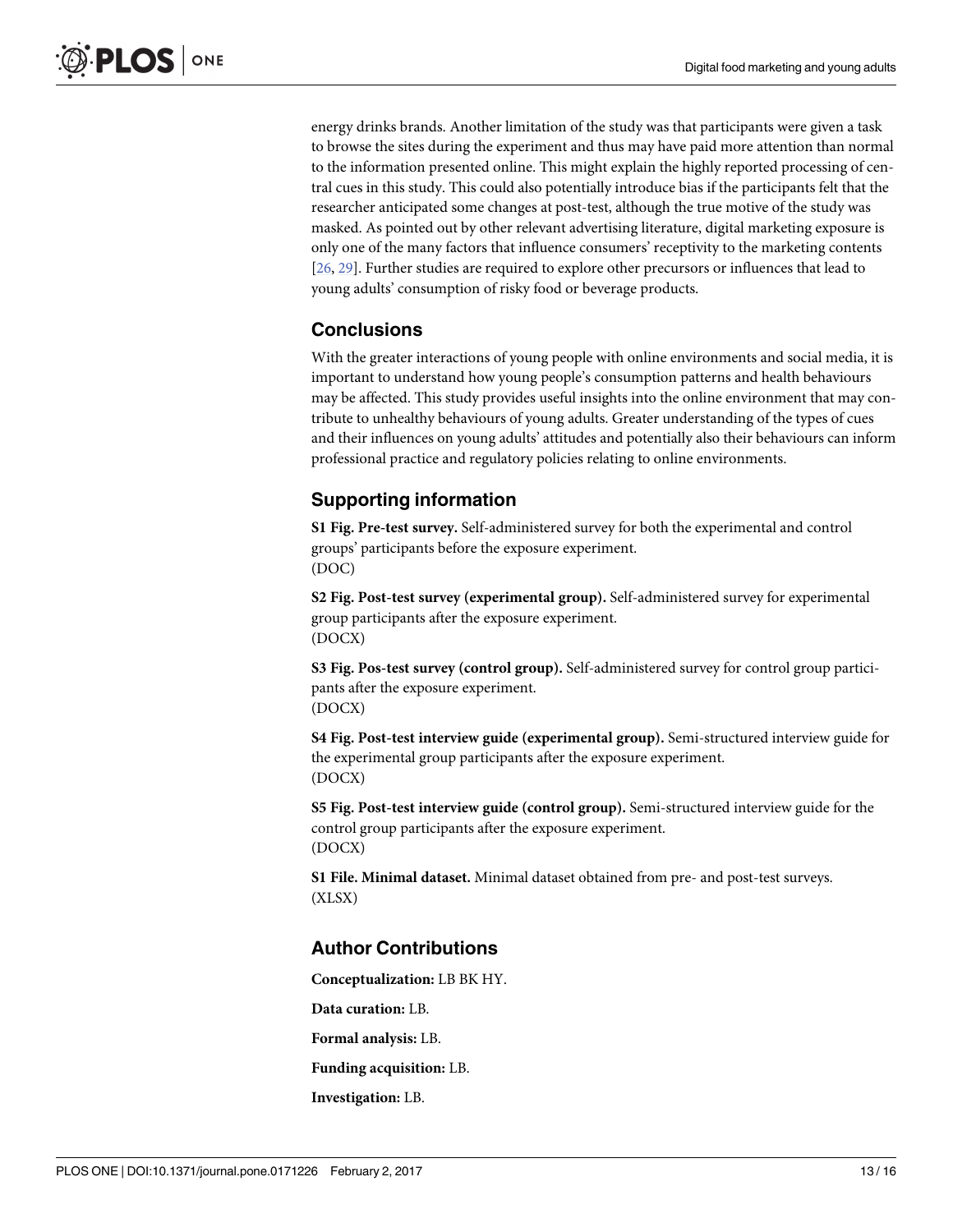<span id="page-14-0"></span>energy drinks brands. Another limitation of the study was that participants were given a task to browse the sites during the experiment and thus may have paid more attention than normal to the information presented online. This might explain the highly reported processing of central cues in this study. This could also potentially introduce bias if the participants felt that the researcher anticipated some changes at post-test, although the true motive of the study was masked. As pointed out by other relevant advertising literature, digital marketing exposure is only one of the many factors that influence consumers' receptivity to the marketing contents [\[26,](#page-16-0) [29\]](#page-16-0). Further studies are required to explore other precursors or influences that lead to young adults' consumption of risky food or beverage products.

## **Conclusions**

With the greater interactions of young people with online environments and social media, it is important to understand how young people's consumption patterns and health behaviours may be affected. This study provides useful insights into the online environment that may contribute to unhealthy behaviours of young adults. Greater understanding of the types of cues and their influences on young adults' attitudes and potentially also their behaviours can inform professional practice and regulatory policies relating to online environments.

# **Supporting information**

**S1 [Fig](http://www.plosone.org/article/fetchSingleRepresentation.action?uri=info:doi/10.1371/journal.pone.0171226.s001). Pre-test survey.** Self-administered survey for both the experimental and control groups' participants before the exposure experiment. (DOC)

**S2 [Fig](http://www.plosone.org/article/fetchSingleRepresentation.action?uri=info:doi/10.1371/journal.pone.0171226.s002). Post-test survey (experimental group).** Self-administered survey for experimental group participants after the exposure experiment. (DOCX)

**S3 [Fig](http://www.plosone.org/article/fetchSingleRepresentation.action?uri=info:doi/10.1371/journal.pone.0171226.s003). Pos-test survey (control group).** Self-administered survey for control group participants after the exposure experiment. (DOCX)

**S4 [Fig](http://www.plosone.org/article/fetchSingleRepresentation.action?uri=info:doi/10.1371/journal.pone.0171226.s004). Post-test interview guide (experimental group).** Semi-structured interview guide for the experimental group participants after the exposure experiment. (DOCX)

**S5 [Fig](http://www.plosone.org/article/fetchSingleRepresentation.action?uri=info:doi/10.1371/journal.pone.0171226.s005). Post-test interview guide (control group).** Semi-structured interview guide for the control group participants after the exposure experiment. (DOCX)

**S1 [File.](http://www.plosone.org/article/fetchSingleRepresentation.action?uri=info:doi/10.1371/journal.pone.0171226.s006) Minimal dataset.** Minimal dataset obtained from pre- and post-test surveys. (XLSX)

# **Author Contributions**

**Conceptualization:** LB BK HY.

**Data curation:** LB.

**Formal analysis:** LB.

**Funding acquisition:** LB.

**Investigation:** LB.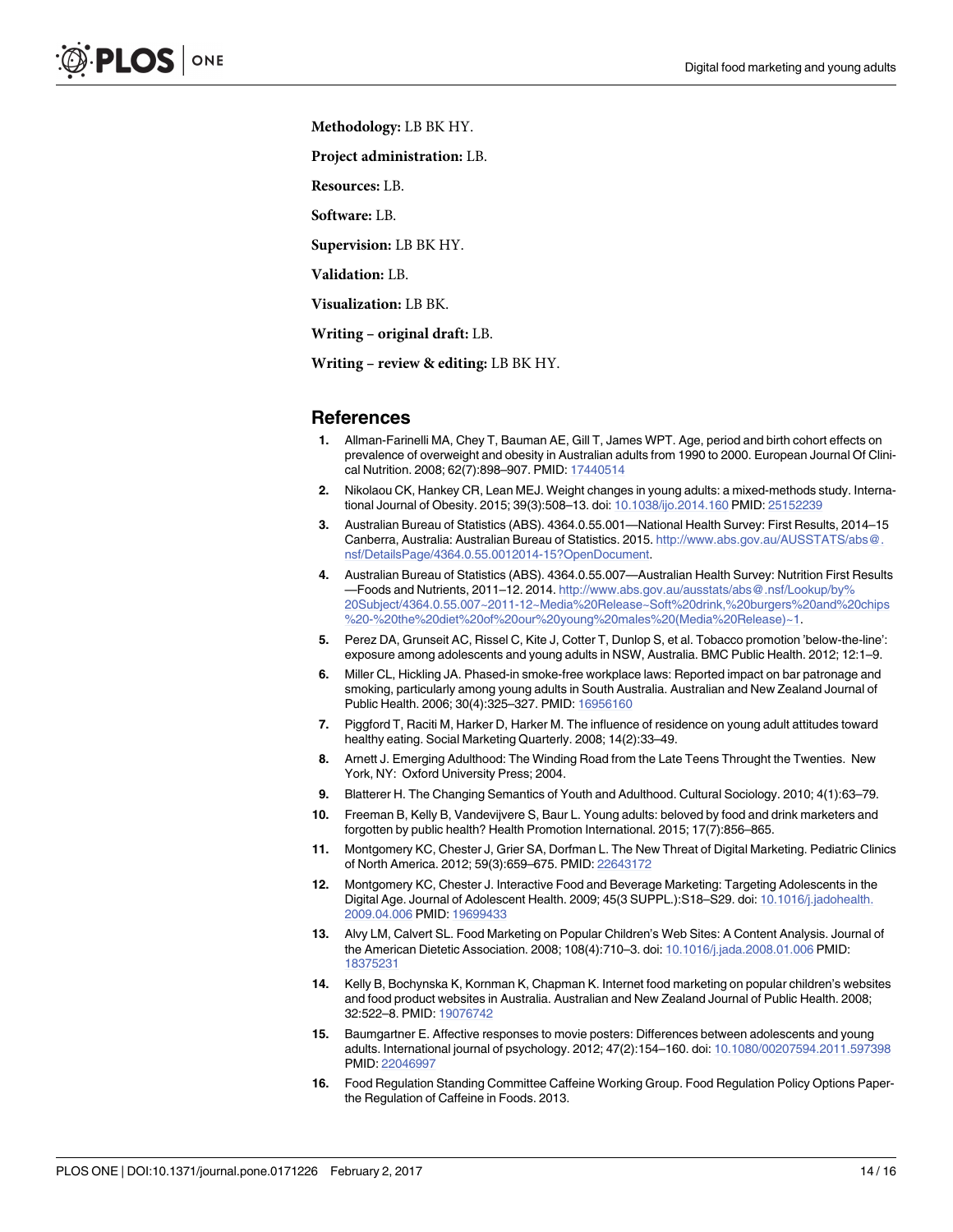<span id="page-15-0"></span>**Methodology:** LB BK HY.

**Project administration:** LB.

**Resources:** LB.

**Software:** LB.

**Supervision:** LB BK HY.

**Validation:** LB.

**Visualization:** LB BK.

**Writing – original draft:** LB.

**Writing – review & editing:** LB BK HY.

#### **References**

- **[1](#page-2-0).** Allman-Farinelli MA, Chey T, Bauman AE, Gill T, James WPT. Age, period and birth cohort effects on prevalence of overweight and obesity in Australian adults from 1990 to 2000. European Journal Of Clinical Nutrition. 2008; 62(7):898–907. PMID: [17440514](http://www.ncbi.nlm.nih.gov/pubmed/17440514)
- **[2](#page-2-0).** Nikolaou CK, Hankey CR, Lean MEJ. Weight changes in young adults: a mixed-methods study. International Journal of Obesity. 2015; 39(3):508–13. doi: [10.1038/ijo.2014.160](http://dx.doi.org/10.1038/ijo.2014.160) PMID: [25152239](http://www.ncbi.nlm.nih.gov/pubmed/25152239)
- **[3](#page-2-0).** Australian Bureau of Statistics (ABS). 4364.0.55.001—National Health Survey: First Results, 2014–15 Canberra, Australia: Australian Bureau of Statistics. 2015. [http://www.abs.gov.au/AUSSTATS/abs@.](http://www.abs.gov.au/AUSSTATS/abs@.nsf/DetailsPage/4364.0.55.0012014-15?OpenDocument) [nsf/DetailsPage/4364.0.55.0012014-15?OpenDocument](http://www.abs.gov.au/AUSSTATS/abs@.nsf/DetailsPage/4364.0.55.0012014-15?OpenDocument).
- **[4](#page-2-0).** Australian Bureau of Statistics (ABS). 4364.0.55.007—Australian Health Survey: Nutrition First Results —Foods and Nutrients, 2011–12. 2014. [http://www.abs.gov.au/ausstats/abs@.nsf/Lookup/by%](http://www.abs.gov.au/ausstats/abs@.nsf/Lookup/by%20Subject/4364.0.55.007~2011-12~Media%20Release~Soft%20drink,%20burgers%20and%20chips%20-%20the%20diet%20of%20our%20young%20males%20(Media%20Release)~1) [20Subject/4364.0.55.007~2011-12~Media%20Release~Soft%20drink,%20burgers%20and%20chips](http://www.abs.gov.au/ausstats/abs@.nsf/Lookup/by%20Subject/4364.0.55.007~2011-12~Media%20Release~Soft%20drink,%20burgers%20and%20chips%20-%20the%20diet%20of%20our%20young%20males%20(Media%20Release)~1) [%20-%20the%20diet%20of%20our%20young%20males%20\(Media%20Release\)~1](http://www.abs.gov.au/ausstats/abs@.nsf/Lookup/by%20Subject/4364.0.55.007~2011-12~Media%20Release~Soft%20drink,%20burgers%20and%20chips%20-%20the%20diet%20of%20our%20young%20males%20(Media%20Release)~1).
- **[5](#page-2-0).** Perez DA, Grunseit AC, Rissel C, Kite J, Cotter T, Dunlop S, et al. Tobacco promotion 'below-the-line': exposure among adolescents and young adults in NSW, Australia. BMC Public Health. 2012; 12:1–9.
- **6.** Miller CL, Hickling JA. Phased-in smoke-free workplace laws: Reported impact on bar patronage and smoking, particularly among young adults in South Australia. Australian and New Zealand Journal of Public Health. 2006; 30(4):325–327. PMID: [16956160](http://www.ncbi.nlm.nih.gov/pubmed/16956160)
- **[7](#page-2-0).** Piggford T, Raciti M, Harker D, Harker M. The influence of residence on young adult attitudes toward healthy eating. Social Marketing Quarterly. 2008; 14(2):33–49.
- **[8](#page-3-0).** Arnett J. Emerging Adulthood: The Winding Road from the Late Teens Throught the Twenties. New York, NY: Oxford University Press; 2004.
- **[9](#page-3-0).** Blatterer H. The Changing Semantics of Youth and Adulthood. Cultural Sociology. 2010; 4(1):63–79.
- **[10](#page-3-0).** Freeman B, Kelly B, Vandevijvere S, Baur L. Young adults: beloved by food and drink marketers and forgotten by public health? Health Promotion International. 2015; 17(7):856–865.
- **[11](#page-3-0).** Montgomery KC, Chester J, Grier SA, Dorfman L. The New Threat of Digital Marketing. Pediatric Clinics of North America. 2012; 59(3):659–675. PMID: [22643172](http://www.ncbi.nlm.nih.gov/pubmed/22643172)
- **[12](#page-3-0).** Montgomery KC, Chester J. Interactive Food and Beverage Marketing: Targeting Adolescents in the Digital Age. Journal of Adolescent Health. 2009; 45(3 SUPPL.):S18–S29. doi: [10.1016/j.jadohealth.](http://dx.doi.org/10.1016/j.jadohealth.2009.04.006) [2009.04.006](http://dx.doi.org/10.1016/j.jadohealth.2009.04.006) PMID: [19699433](http://www.ncbi.nlm.nih.gov/pubmed/19699433)
- **[13](#page-3-0).** Alvy LM, Calvert SL. Food Marketing on Popular Children's Web Sites: A Content Analysis. Journal of the American Dietetic Association. 2008; 108(4):710–3. doi: [10.1016/j.jada.2008.01.006](http://dx.doi.org/10.1016/j.jada.2008.01.006) PMID: [18375231](http://www.ncbi.nlm.nih.gov/pubmed/18375231)
- **[14](#page-3-0).** Kelly B, Bochynska K, Kornman K, Chapman K. Internet food marketing on popular children's websites and food product websites in Australia. Australian and New Zealand Journal of Public Health. 2008; 32:522–8. PMID: [19076742](http://www.ncbi.nlm.nih.gov/pubmed/19076742)
- **[15](#page-3-0).** Baumgartner E. Affective responses to movie posters: Differences between adolescents and young adults. International journal of psychology. 2012; 47(2):154–160. doi: [10.1080/00207594.2011.597398](http://dx.doi.org/10.1080/00207594.2011.597398) PMID: [22046997](http://www.ncbi.nlm.nih.gov/pubmed/22046997)
- **[16](#page-3-0).** Food Regulation Standing Committee Caffeine Working Group. Food Regulation Policy Options Paperthe Regulation of Caffeine in Foods. 2013.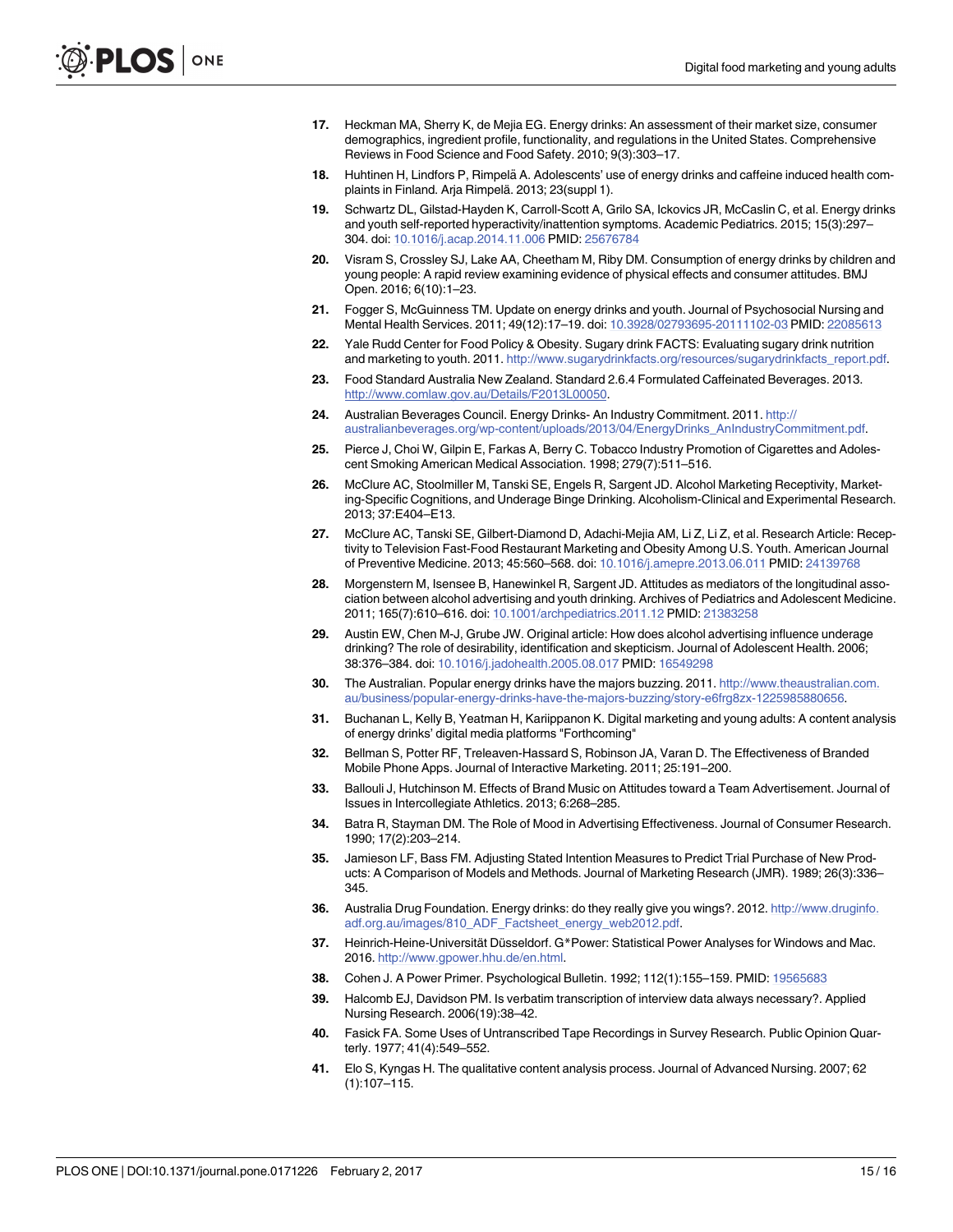- <span id="page-16-0"></span>**[17](#page-3-0).** Heckman MA, Sherry K, de Mejia EG. Energy drinks: An assessment of their market size, consumer demographics, ingredient profile, functionality, and regulations in the United States. Comprehensive Reviews in Food Science and Food Safety. 2010; 9(3):303–17.
- **18.** Huhtinen H, Lindfors P, Rimpelä A. Adolescents' use of energy drinks and caffeine induced health complaints in Finland. Arja Rimpelä. 2013; 23(suppl 1).
- **[19](#page-3-0).** Schwartz DL, Gilstad-Hayden K, Carroll-Scott A, Grilo SA, Ickovics JR, McCaslin C, et al. Energy drinks and youth self-reported hyperactivity/inattention symptoms. Academic Pediatrics. 2015; 15(3):297– 304. doi: [10.1016/j.acap.2014.11.006](http://dx.doi.org/10.1016/j.acap.2014.11.006) PMID: [25676784](http://www.ncbi.nlm.nih.gov/pubmed/25676784)
- **[20](#page-3-0).** Visram S, Crossley SJ, Lake AA, Cheetham M, Riby DM. Consumption of energy drinks by children and young people: A rapid review examining evidence of physical effects and consumer attitudes. BMJ Open. 2016; 6(10):1–23.
- **[21](#page-3-0).** Fogger S, McGuinness TM. Update on energy drinks and youth. Journal of Psychosocial Nursing and Mental Health Services. 2011; 49(12):17–19. doi: [10.3928/02793695-20111102-03](http://dx.doi.org/10.3928/02793695-20111102-03) PMID: [22085613](http://www.ncbi.nlm.nih.gov/pubmed/22085613)
- **[22](#page-3-0).** Yale Rudd Center for Food Policy & Obesity. Sugary drink FACTS: Evaluating sugary drink nutrition and marketing to youth. 2011. [http://www.sugarydrinkfacts.org/resources/sugarydrinkfacts\\_report.pdf.](http://www.sugarydrinkfacts.org/resources/sugarydrinkfacts_report.pdf)
- **[23](#page-3-0).** Food Standard Australia New Zealand. Standard 2.6.4 Formulated Caffeinated Beverages. 2013. [http://www.comlaw.gov.au/Details/F2013L00050.](http://www.comlaw.gov.au/Details/F2013L00050)
- **[24](#page-3-0).** Australian Beverages Council. Energy Drinks- An Industry Commitment. 2011. [http://](http://australianbeverages.org/wp-content/uploads/2013/04/EnergyDrinks_AnIndustryCommitment.pdf) [australianbeverages.org/wp-content/uploads/2013/04/EnergyDrinks\\_AnIndustryCommitment.pdf.](http://australianbeverages.org/wp-content/uploads/2013/04/EnergyDrinks_AnIndustryCommitment.pdf)
- **[25](#page-3-0).** Pierce J, Choi W, Gilpin E, Farkas A, Berry C. Tobacco Industry Promotion of Cigarettes and Adolescent Smoking American Medical Association. 1998; 279(7):511–516.
- **[26](#page-14-0).** McClure AC, Stoolmiller M, Tanski SE, Engels R, Sargent JD. Alcohol Marketing Receptivity, Marketing-Specific Cognitions, and Underage Binge Drinking. Alcoholism-Clinical and Experimental Research. 2013; 37:E404–E13.
- **[27](#page-3-0).** McClure AC, Tanski SE, Gilbert-Diamond D, Adachi-Mejia AM, Li Z, Li Z, et al. Research Article: Receptivity to Television Fast-Food Restaurant Marketing and Obesity Among U.S. Youth. American Journal of Preventive Medicine. 2013; 45:560–568. doi: [10.1016/j.amepre.2013.06.011](http://dx.doi.org/10.1016/j.amepre.2013.06.011) PMID: [24139768](http://www.ncbi.nlm.nih.gov/pubmed/24139768)
- **[28](#page-3-0).** Morgenstern M, Isensee B, Hanewinkel R, Sargent JD. Attitudes as mediators of the longitudinal association between alcohol advertising and youth drinking. Archives of Pediatrics and Adolescent Medicine. 2011; 165(7):610–616. doi: [10.1001/archpediatrics.2011.12](http://dx.doi.org/10.1001/archpediatrics.2011.12) PMID: [21383258](http://www.ncbi.nlm.nih.gov/pubmed/21383258)
- **[29](#page-4-0).** Austin EW, Chen M-J, Grube JW. Original article: How does alcohol advertising influence underage drinking? The role of desirability, identification and skepticism. Journal of Adolescent Health. 2006; 38:376–384. doi: [10.1016/j.jadohealth.2005.08.017](http://dx.doi.org/10.1016/j.jadohealth.2005.08.017) PMID: [16549298](http://www.ncbi.nlm.nih.gov/pubmed/16549298)
- **[30](#page-4-0).** The Australian. Popular energy drinks have the majors buzzing. 2011. [http://www.theaustralian.com.](http://www.theaustralian.com.au/business/popular-energy-drinks-have-the-majors-buzzing/story-e6frg8zx-1225985880656) [au/business/popular-energy-drinks-have-the-majors-buzzing/story-e6frg8zx-1225985880656](http://www.theaustralian.com.au/business/popular-energy-drinks-have-the-majors-buzzing/story-e6frg8zx-1225985880656).
- **[31](#page-4-0).** Buchanan L, Kelly B, Yeatman H, Kariippanon K. Digital marketing and young adults: A content analysis of energy drinks' digital media platforms "Forthcoming"
- **[32](#page-5-0).** Bellman S, Potter RF, Treleaven-Hassard S, Robinson JA, Varan D. The Effectiveness of Branded Mobile Phone Apps. Journal of Interactive Marketing. 2011; 25:191–200.
- **[33](#page-5-0).** Ballouli J, Hutchinson M. Effects of Brand Music on Attitudes toward a Team Advertisement. Journal of Issues in Intercollegiate Athletics. 2013; 6:268–285.
- **[34](#page-5-0).** Batra R, Stayman DM. The Role of Mood in Advertising Effectiveness. Journal of Consumer Research. 1990; 17(2):203–214.
- **[35](#page-5-0).** Jamieson LF, Bass FM. Adjusting Stated Intention Measures to Predict Trial Purchase of New Products: A Comparison of Models and Methods. Journal of Marketing Research (JMR). 1989; 26(3):336– 345.
- **[36](#page-6-0).** Australia Drug Foundation. Energy drinks: do they really give you wings?. 2012. [http://www.druginfo.](http://www.druginfo.adf.org.au/images/810_ADF_Factsheet_energy_web2012.pdf) [adf.org.au/images/810\\_ADF\\_Factsheet\\_energy\\_web2012.pdf.](http://www.druginfo.adf.org.au/images/810_ADF_Factsheet_energy_web2012.pdf)
- **[37](#page-6-0).** Heinrich-Heine-Universität Düsseldorf. G\*Power: Statistical Power Analyses for Windows and Mac. 2016. [http://www.gpower.hhu.de/en.html.](http://www.gpower.hhu.de/en.html)
- **[38](#page-6-0).** Cohen J. A Power Primer. Psychological Bulletin. 1992; 112(1):155–159. PMID: [19565683](http://www.ncbi.nlm.nih.gov/pubmed/19565683)
- **[39](#page-6-0).** Halcomb EJ, Davidson PM. Is verbatim transcription of interview data always necessary?. Applied Nursing Research. 2006(19):38–42.
- **[40](#page-6-0).** Fasick FA. Some Uses of Untranscribed Tape Recordings in Survey Research. Public Opinion Quarterly. 1977; 41(4):549–552.
- **[41](#page-6-0).** Elo S, Kyngas H. The qualitative content analysis process. Journal of Advanced Nursing. 2007; 62 (1):107–115.